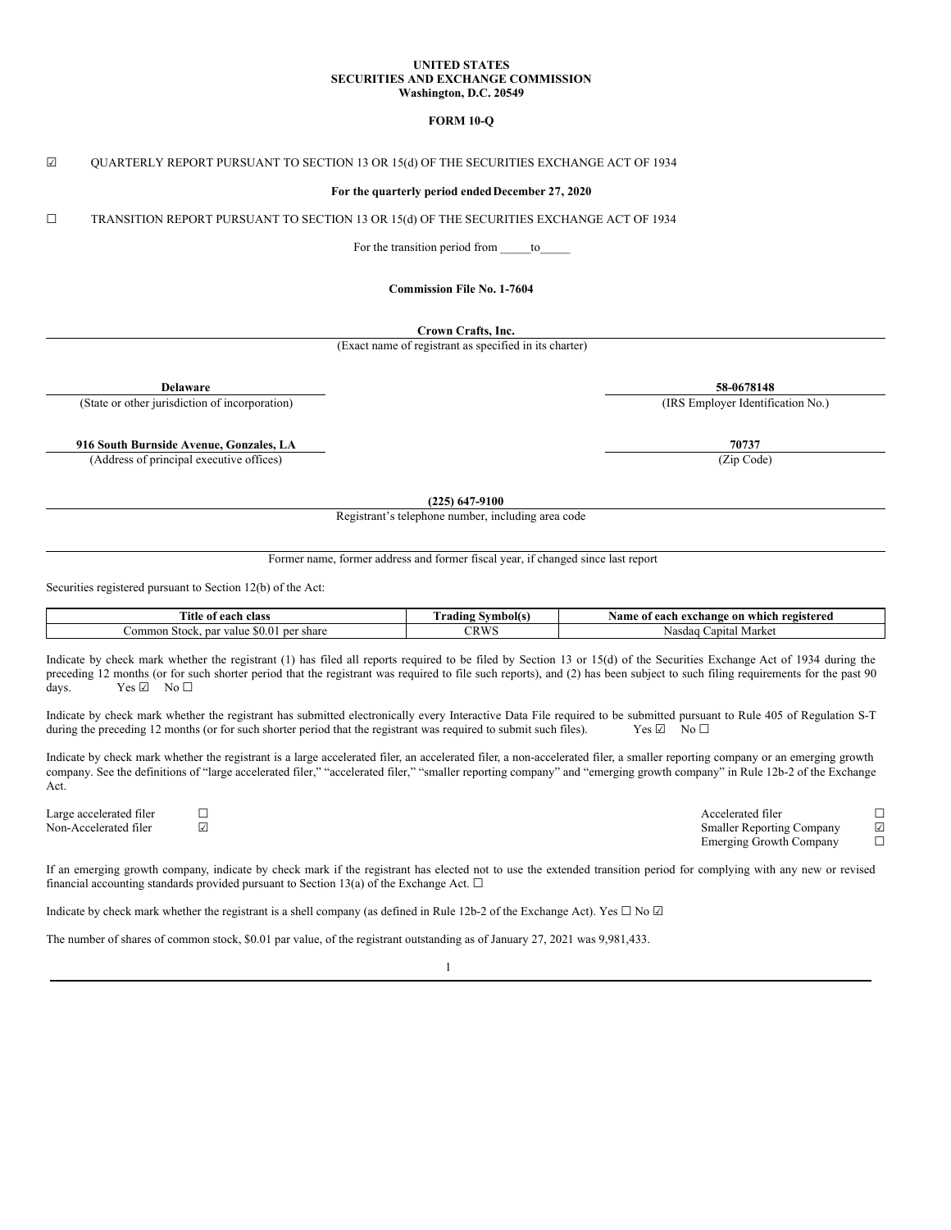#### **UNITED STATES SECURITIES AND EXCHANGE COMMISSION Washington, D.C. 20549**

### **FORM 10-Q**

#### ☑ QUARTERLY REPORT PURSUANT TO SECTION 13 OR 15(d) OF THE SECURITIES EXCHANGE ACT OF 1934

### **For the quarterly period endedDecember 27, 2020**

☐ TRANSITION REPORT PURSUANT TO SECTION 13 OR 15(d) OF THE SECURITIES EXCHANGE ACT OF 1934

For the transition period from \_\_\_\_\_\_to

### **Commission File No. 1-7604**

**Crown Crafts, Inc.**

(Exact name of registrant as specified in its charter)

(State or other jurisdiction of incorporation) (IRS Employer Identification No.)

**916 South Burnside Avenue, Gonzales, LA 70737**

(Address of principal executive offices) (Zip Code)

**Delaware 58-0678148**

**(225) 647-9100**

Registrant's telephone number, including area code

Former name, former address and former fiscal year, if changed since last report

Securities registered pursuant to Section 12(b) of the Act:

| m.<br>class<br>. each-<br>ntle<br>ОI                         | vmbolts<br>' radıng .<br>.  | registered<br>Name<br>. cxchange -<br>on<br>each<br>which<br>01 |
|--------------------------------------------------------------|-----------------------------|-----------------------------------------------------------------|
| <b>SO.O</b><br>share<br>∟ommon Stock.<br>per<br>value<br>par | CDWS<br>$\sim$ IN YY $\sim$ | ∟apıtal Market<br>Nasdad                                        |

Indicate by check mark whether the registrant (1) has filed all reports required to be filed by Section 13 or 15(d) of the Securities Exchange Act of 1934 during the preceding 12 months (or for such shorter period that the registrant was required to file such reports), and (2) has been subject to such filing requirements for the past 90 days. Yes ☑ No □

Indicate by check mark whether the registrant has submitted electronically every Interactive Data File required to be submitted pursuant to Rule 405 of Regulation S-T during the preceding 12 months (or for such shorter period that the registrant was required to submit such files). Yes  $\boxtimes$  No  $\Box$ 

Indicate by check mark whether the registrant is a large accelerated filer, an accelerated filer, a non-accelerated filer, a smaller reporting company or an emerging growth company. See the definitions of "large accelerated filer," "accelerated filer," "smaller reporting company" and "emerging growth company" in Rule 12b-2 of the Exchange Act.

Large accelerated filer □<br>
Non-Accelerated filer □<br>
□ Smaller Reporting Company ☑<br>Emerging Growth Company □ Emerging Growth Company

If an emerging growth company, indicate by check mark if the registrant has elected not to use the extended transition period for complying with any new or revised financial accounting standards provided pursuant to Section 13(a) of the Exchange Act.  $\Box$ 

Indicate by check mark whether the registrant is a shell company (as defined in Rule 12b-2 of the Exchange Act). Yes  $\Box$  No  $\Box$ 

The number of shares of common stock, \$0.01 par value, of the registrant outstanding as of January 27, 2021 was 9,981,433.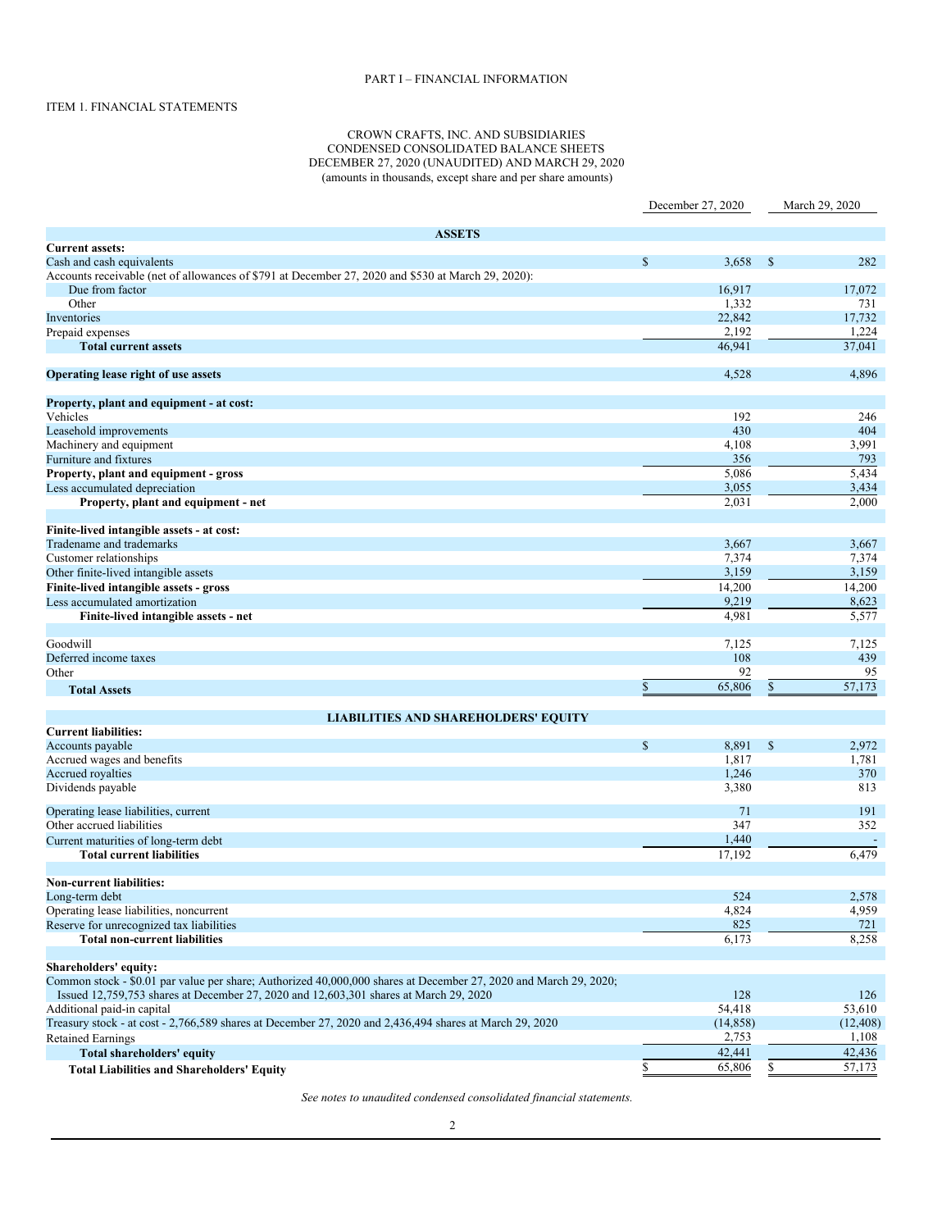# PART I – FINANCIAL INFORMATION

# ITEM 1. FINANCIAL STATEMENTS

### CROWN CRAFTS, INC. AND SUBSIDIARIES CONDENSED CONSOLIDATED BALANCE SHEETS DECEMBER 27, 2020 (UNAUDITED) AND MARCH 29, 2020 (amounts in thousands, except share and per share amounts)

|                                                                                                                  | December 27, 2020 |           |               | March 29, 2020      |
|------------------------------------------------------------------------------------------------------------------|-------------------|-----------|---------------|---------------------|
|                                                                                                                  |                   |           |               |                     |
| <b>ASSETS</b>                                                                                                    |                   |           |               |                     |
| <b>Current assets:</b>                                                                                           |                   |           |               |                     |
| Cash and cash equivalents                                                                                        | $\mathbb{S}$      | 3,658     | $\mathbb{S}$  | 282                 |
| Accounts receivable (net of allowances of \$791 at December 27, 2020 and \$530 at March 29, 2020):               |                   |           |               |                     |
| Due from factor                                                                                                  |                   | 16,917    |               | 17,072              |
| Other                                                                                                            |                   | 1,332     |               | 731                 |
| Inventories                                                                                                      |                   | 22,842    |               | 17,732              |
| Prepaid expenses                                                                                                 |                   | 2,192     |               | 1,224               |
| <b>Total current assets</b>                                                                                      |                   | 46,941    |               | 37,041              |
| Operating lease right of use assets                                                                              |                   | 4,528     |               | 4,896               |
| Property, plant and equipment - at cost:                                                                         |                   |           |               |                     |
| Vehicles                                                                                                         |                   | 192       |               | 246                 |
| Leasehold improvements                                                                                           |                   | 430       |               | 404                 |
| Machinery and equipment                                                                                          |                   | 4,108     |               | 3,991               |
| Furniture and fixtures                                                                                           |                   | 356       |               | 793                 |
| Property, plant and equipment - gross                                                                            |                   | 5,086     |               | 5,434               |
| Less accumulated depreciation                                                                                    |                   | 3,055     |               | 3,434               |
| Property, plant and equipment - net                                                                              |                   | 2,031     |               | 2,000               |
| Finite-lived intangible assets - at cost:                                                                        |                   |           |               |                     |
| Tradename and trademarks                                                                                         |                   | 3,667     |               | 3,667               |
| Customer relationships                                                                                           |                   | 7,374     |               | 7,374               |
| Other finite-lived intangible assets                                                                             |                   | 3,159     |               | 3,159               |
| Finite-lived intangible assets - gross                                                                           |                   | 14,200    |               | 14,200              |
| Less accumulated amortization                                                                                    |                   | 9,219     |               | 8,623               |
| Finite-lived intangible assets - net                                                                             |                   | 4,981     |               | 5,577               |
|                                                                                                                  |                   |           |               |                     |
| Goodwill                                                                                                         |                   | 7,125     |               | 7,125               |
| Deferred income taxes                                                                                            |                   | 108       |               | 439                 |
| Other                                                                                                            |                   | 92        |               | 95                  |
| <b>Total Assets</b>                                                                                              | \$                | 65,806    | $\mathbb{S}$  | $\overline{57,173}$ |
| <b>LIABILITIES AND SHAREHOLDERS' EQUITY</b>                                                                      |                   |           |               |                     |
| <b>Current liabilities:</b>                                                                                      |                   |           |               |                     |
| Accounts payable                                                                                                 | $\mathbb{S}$      | 8,891     | $\mathcal{S}$ | 2,972               |
| Accrued wages and benefits                                                                                       |                   | 1,817     |               | 1,781               |
| Accrued royalties                                                                                                |                   | 1,246     |               | 370                 |
| Dividends payable                                                                                                |                   | 3,380     |               | 813                 |
| Operating lease liabilities, current                                                                             |                   | 71        |               | 191                 |
| Other accrued liabilities                                                                                        |                   | 347       |               | 352                 |
| Current maturities of long-term debt                                                                             |                   | 1,440     |               |                     |
| <b>Total current liabilities</b>                                                                                 |                   | 17,192    |               | 6,479               |
| <b>Non-current liabilities:</b>                                                                                  |                   |           |               |                     |
| Long-term debt                                                                                                   |                   | 524       |               | 2,578               |
| Operating lease liabilities, noncurrent                                                                          |                   | 4,824     |               | 4,959               |
| Reserve for unrecognized tax liabilities                                                                         |                   | 825       |               | 721                 |
| <b>Total non-current liabilities</b>                                                                             |                   | 6,173     |               | 8,258               |
|                                                                                                                  |                   |           |               |                     |
| Shareholders' equity:                                                                                            |                   |           |               |                     |
| Common stock - \$0.01 par value per share; Authorized 40,000,000 shares at December 27, 2020 and March 29, 2020; |                   |           |               |                     |
| Issued 12,759,753 shares at December 27, 2020 and 12,603,301 shares at March 29, 2020                            |                   | 128       |               | 126                 |
| Additional paid-in capital                                                                                       |                   | 54,418    |               | 53,610              |
| Treasury stock - at cost - 2,766,589 shares at December 27, 2020 and 2,436,494 shares at March 29, 2020          |                   | (14, 858) |               | (12, 408)           |
| <b>Retained Earnings</b>                                                                                         |                   | 2,753     |               | 1,108               |
| <b>Total shareholders' equity</b>                                                                                |                   | 42,441    |               | 42,436              |
| <b>Total Liabilities and Shareholders' Equity</b>                                                                | $\frac{1}{2}$     | 65,806    | \$            | 57,173              |

*See notes to unaudited condensed consolidated financial statements.*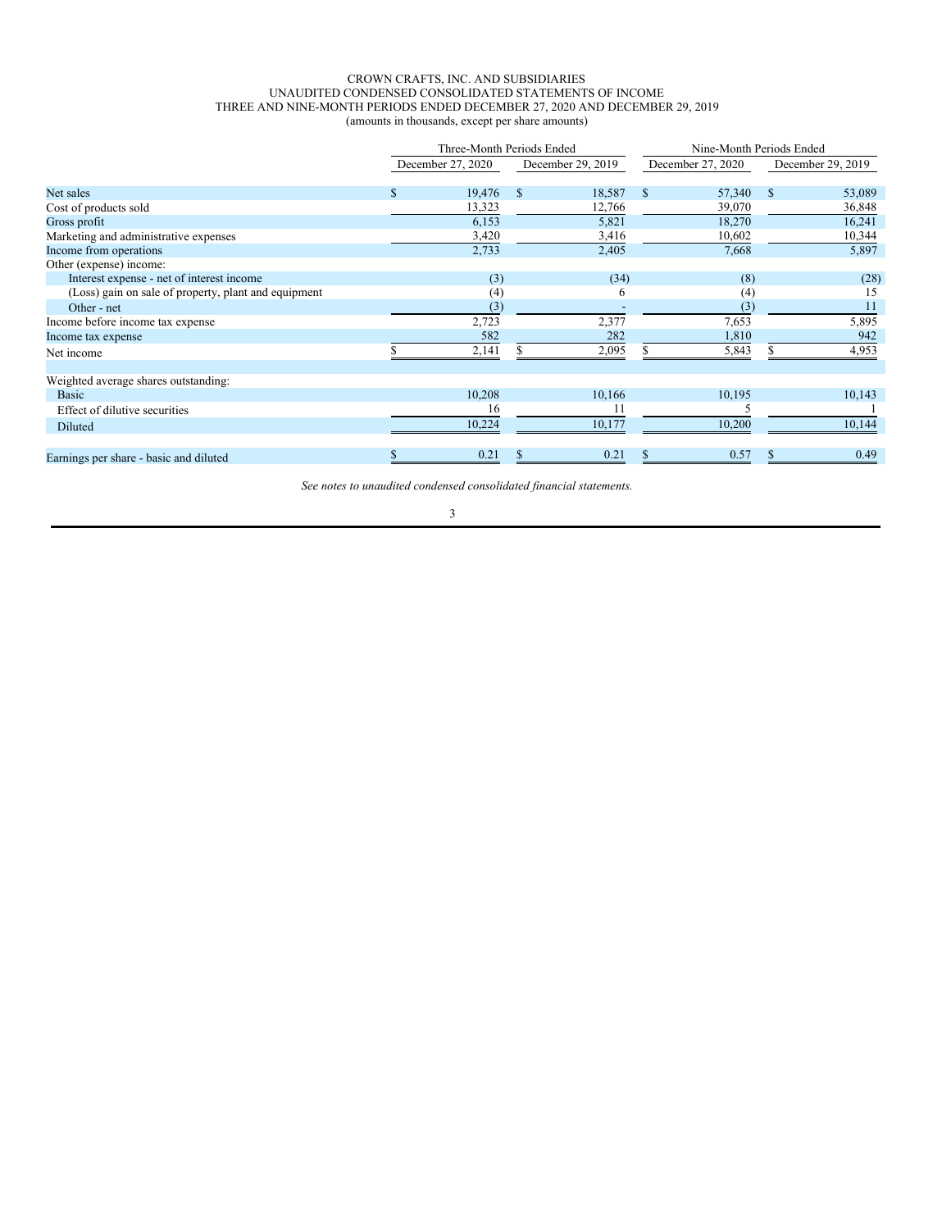### CROWN CRAFTS, INC. AND SUBSIDIARIES UNAUDITED CONDENSED CONSOLIDATED STATEMENTS OF INCOME THREE AND NINE-MONTH PERIODS ENDED DECEMBER 27, 2020 AND DECEMBER 29, 2019 (amounts in thousands, except per share amounts)

|                                                      |                   | Three-Month Periods Ended | Nine-Month Periods Ended |                   |  |  |
|------------------------------------------------------|-------------------|---------------------------|--------------------------|-------------------|--|--|
|                                                      | December 27, 2020 | December 29, 2019         | December 27, 2020        | December 29, 2019 |  |  |
| Net sales                                            | 19,476<br>\$      | S<br>18,587               | <sup>S</sup><br>57,340   | 53,089<br>-S      |  |  |
| Cost of products sold                                | 13,323            | 12,766                    | 39,070                   | 36,848            |  |  |
| Gross profit                                         | 6,153             | 5,821                     | 18,270                   | 16,241            |  |  |
| Marketing and administrative expenses                | 3,420             | 3,416                     | 10,602                   | 10,344            |  |  |
| Income from operations                               | 2,733             | 2,405                     | 7,668                    | 5,897             |  |  |
| Other (expense) income:                              |                   |                           |                          |                   |  |  |
| Interest expense - net of interest income            | (3)               | (34)                      | (8)                      | (28)              |  |  |
| (Loss) gain on sale of property, plant and equipment | (4)               | 6                         | (4)                      | 15                |  |  |
| Other - net                                          | (3)               |                           | (3)                      | 11                |  |  |
| Income before income tax expense                     | 2,723             | 2,377                     | 7,653                    | 5,895             |  |  |
| Income tax expense                                   | 582               | 282                       | 1,810                    | 942               |  |  |
| Net income                                           | 2,141             | 2,095                     | 5,843                    | 4,953             |  |  |
| Weighted average shares outstanding:                 |                   |                           |                          |                   |  |  |
| <b>Basic</b>                                         | 10,208            | 10,166                    | 10,195                   | 10,143            |  |  |
| Effect of dilutive securities                        | 16                | 11                        |                          |                   |  |  |
| Diluted                                              | 10,224            | 10,177                    | 10,200                   | 10,144            |  |  |
| Earnings per share - basic and diluted               | 0.21              | 0.21                      | 0.57                     | 0.49              |  |  |

*See notes to unaudited condensed consolidated financial statements.*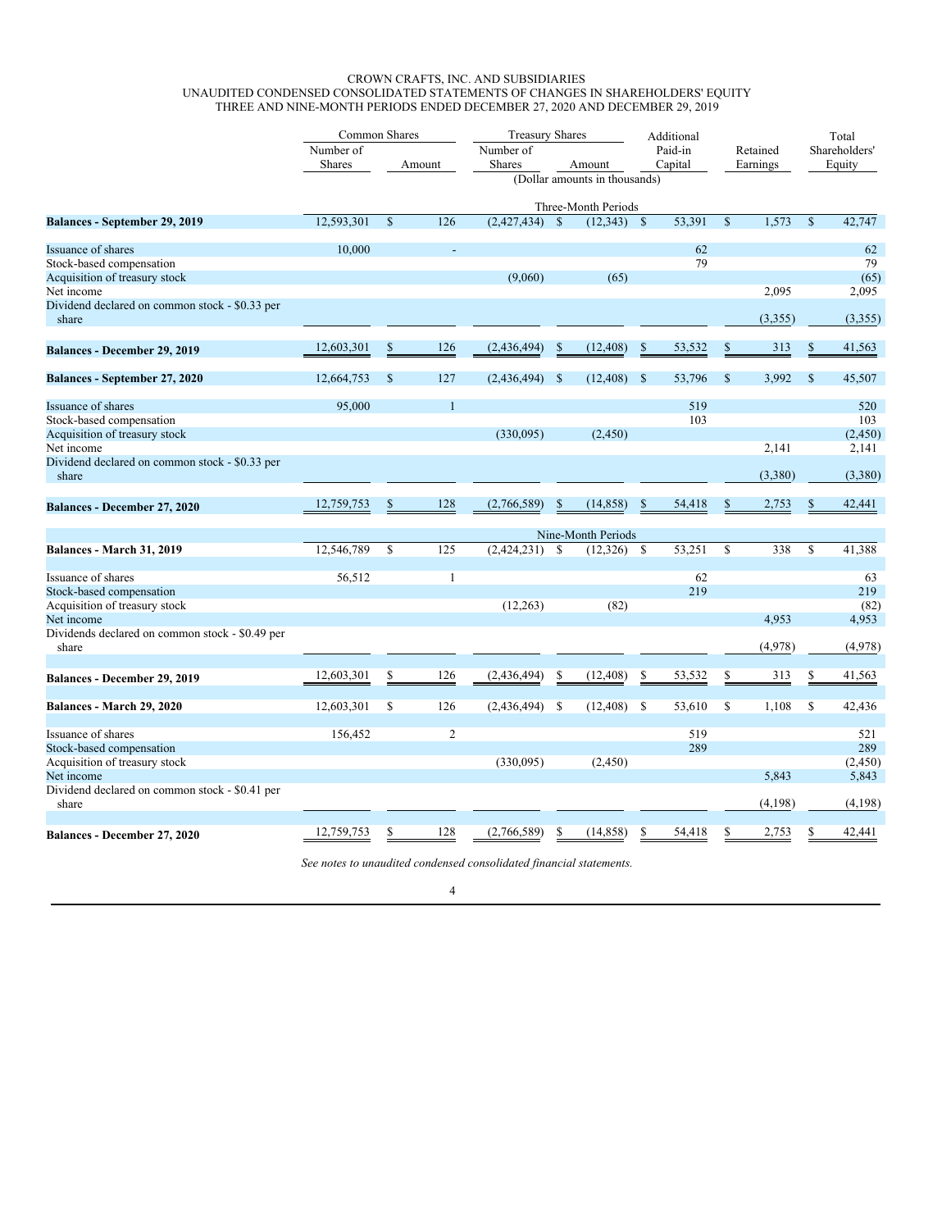# CROWN CRAFTS, INC. AND SUBSIDIARIES UNAUDITED CONDENSED CONSOLIDATED STATEMENTS OF CHANGES IN SHAREHOLDERS' EQUITY THREE AND NINE-MONTH PERIODS ENDED DECEMBER 27, 2020 AND DECEMBER 29, 2019

|                                                         | Common Shares |               |                | <b>Treasury Shares</b> |               |                               |               | Additional |             |          | Total       |               |
|---------------------------------------------------------|---------------|---------------|----------------|------------------------|---------------|-------------------------------|---------------|------------|-------------|----------|-------------|---------------|
|                                                         | Number of     |               |                | Number of              |               |                               |               | Paid-in    | Retained    |          |             | Shareholders' |
|                                                         | <b>Shares</b> |               | Amount         | Shares                 |               | Amount                        |               | Capital    |             | Earnings |             | Equity        |
|                                                         |               |               |                |                        |               | (Dollar amounts in thousands) |               |            |             |          |             |               |
|                                                         |               |               |                |                        |               | Three-Month Periods           |               |            |             |          |             |               |
| <b>Balances - September 29, 2019</b>                    | 12,593,301    | $\mathbf S$   | 126            | (2,427,434)            | <sup>\$</sup> | (12, 343)                     | $\mathbf S$   | 53,391     | $\mathbf S$ | 1,573    | \$          | 42,747        |
| Issuance of shares                                      | 10.000        |               |                |                        |               |                               |               | 62         |             |          |             | 62            |
| Stock-based compensation                                |               |               |                |                        |               |                               |               | 79         |             |          |             | 79            |
| Acquisition of treasury stock                           |               |               |                | (9,060)                |               | (65)                          |               |            |             |          |             | (65)          |
| Net income                                              |               |               |                |                        |               |                               |               |            |             | 2,095    |             | 2,095         |
| Dividend declared on common stock - \$0.33 per<br>share |               |               |                |                        |               |                               |               |            |             | (3,355)  |             | (3,355)       |
|                                                         |               |               |                |                        |               |                               |               |            |             |          |             |               |
| <b>Balances - December 29, 2019</b>                     | 12,603,301    | \$            | 126            | (2,436,494)            | $\mathbb{S}$  | (12, 408)                     | S             | 53,532     | \$          | 313      | $\mathbf S$ | 41,563        |
| Balances - September 27, 2020                           | 12,664,753    | <sup>\$</sup> | 127            | $(2,436,494)$ \$       |               | (12, 408)                     | <sup>\$</sup> | 53,796     | S           | 3,992    | S           | 45,507        |
| Issuance of shares                                      | 95,000        |               | $\mathbf{1}$   |                        |               |                               |               | 519        |             |          |             | 520           |
| Stock-based compensation                                |               |               |                |                        |               |                               |               | 103        |             |          |             | 103           |
| Acquisition of treasury stock                           |               |               |                | (330,095)              |               | (2,450)                       |               |            |             |          |             | (2,450)       |
| Net income                                              |               |               |                |                        |               |                               |               |            |             | 2,141    |             | 2,141         |
| Dividend declared on common stock - \$0.33 per          |               |               |                |                        |               |                               |               |            |             |          |             |               |
| share                                                   |               |               |                |                        |               |                               |               |            |             | (3,380)  |             | (3,380)       |
| <b>Balances - December 27, 2020</b>                     | 12,759,753    |               | 128            | (2,766,589)            | \$            | (14, 858)                     | S             | 54,418     |             | 2,753    | \$          | 42,441        |
|                                                         |               |               |                |                        |               |                               |               |            |             |          |             |               |
|                                                         |               |               |                |                        |               | Nine-Month Periods            |               |            |             |          |             |               |
| Balances - March 31, 2019                               | 12,546,789    | <sup>\$</sup> | 125            | (2,424,231)            | $\mathbf S$   | (12, 326)                     | S             | 53,251     | $\mathbf S$ | 338      | $\mathbf S$ | 41,388        |
| Issuance of shares                                      | 56,512        |               | $\mathbf{1}$   |                        |               |                               |               | 62         |             |          |             | 63            |
| Stock-based compensation                                |               |               |                |                        |               |                               |               | 219        |             |          |             | 219           |
| Acquisition of treasury stock                           |               |               |                | (12, 263)              |               | (82)                          |               |            |             |          |             | (82)          |
| Net income                                              |               |               |                |                        |               |                               |               |            |             | 4,953    |             | 4,953         |
| Dividends declared on common stock - \$0.49 per         |               |               |                |                        |               |                               |               |            |             |          |             |               |
| share                                                   |               |               |                |                        |               |                               |               |            |             | (4,978)  |             | (4,978)       |
|                                                         |               |               |                |                        |               |                               |               |            |             |          |             |               |
| Balances - December 29, 2019                            | 12,603,301    |               | 126            | (2, 436, 494)          | \$            | (12, 408)                     | S             | 53,532     |             | 313      | \$          | 41,563        |
| Balances - March 29, 2020                               | 12,603,301    | \$            | 126            | $(2,436,494)$ \$       |               | (12, 408)                     | S.            | 53,610     | S           | 1,108    | \$          | 42,436        |
| Issuance of shares                                      | 156,452       |               | $\overline{2}$ |                        |               |                               |               | 519        |             |          |             | 521           |
| Stock-based compensation                                |               |               |                |                        |               |                               |               | 289        |             |          |             | 289           |
| Acquisition of treasury stock                           |               |               |                | (330,095)              |               | (2, 450)                      |               |            |             |          |             | (2, 450)      |
| Net income                                              |               |               |                |                        |               |                               |               |            |             | 5.843    |             | 5,843         |
| Dividend declared on common stock - \$0.41 per<br>share |               |               |                |                        |               |                               |               |            |             | (4,198)  |             | (4,198)       |
|                                                         |               |               |                |                        |               |                               |               |            |             |          |             |               |
| Balances - December 27, 2020                            | 12,759,753    |               | 128            | (2,766,589)            | S             | (14, 858)                     | S             | 54,418     |             | 2,753    |             | 42,441        |

*See notes to unaudited condensed consolidated financial statements.*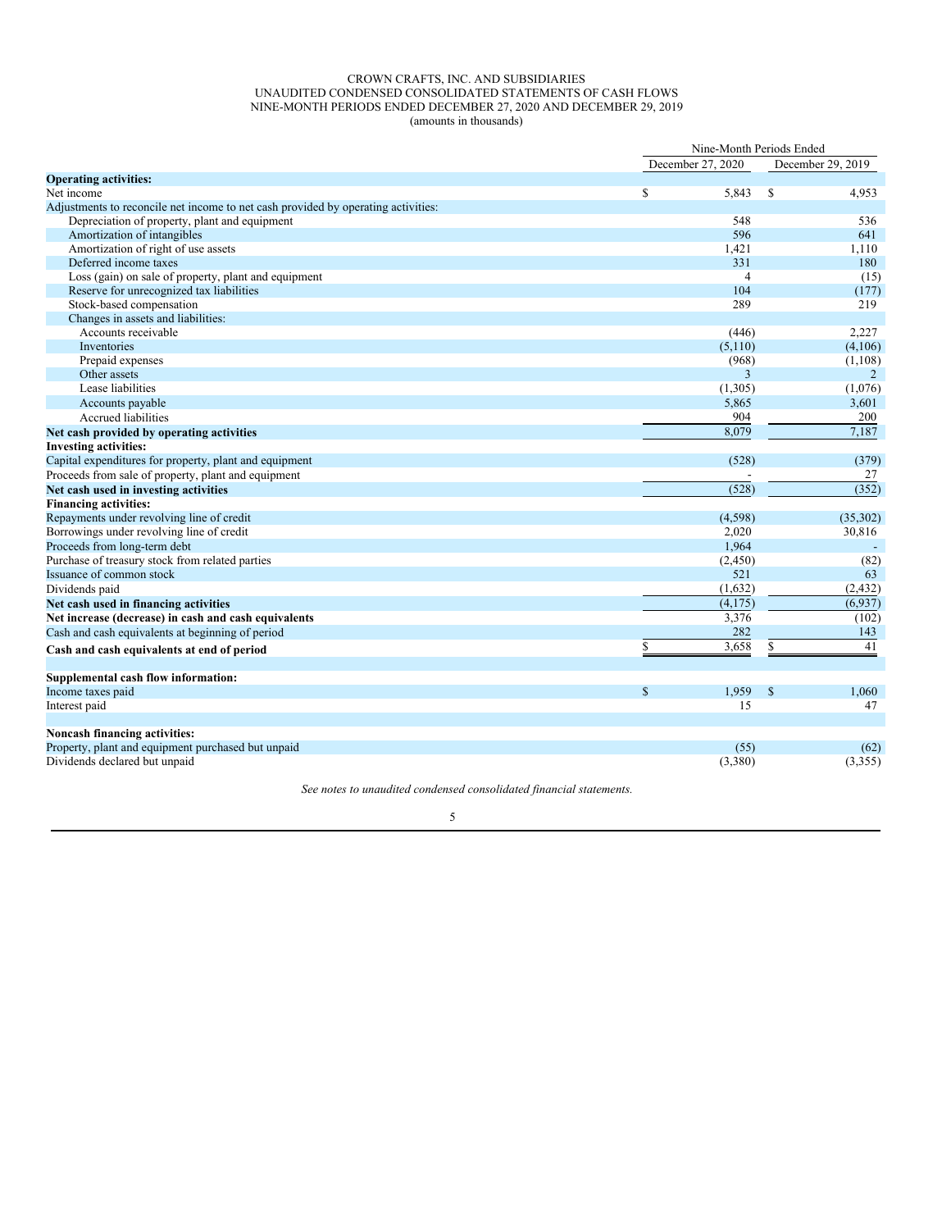### CROWN CRAFTS, INC. AND SUBSIDIARIES UNAUDITED CONDENSED CONSOLIDATED STATEMENTS OF CASH FLOWS NINE-MONTH PERIODS ENDED DECEMBER 27, 2020 AND DECEMBER 29, 2019 (amounts in thousands)

|                                                                                   | Nine-Month Periods Ended |                   |          |  |  |  |  |
|-----------------------------------------------------------------------------------|--------------------------|-------------------|----------|--|--|--|--|
|                                                                                   | December 27, 2020        | December 29, 2019 |          |  |  |  |  |
| <b>Operating activities:</b>                                                      |                          |                   |          |  |  |  |  |
| Net income                                                                        | \$<br>5,843              | <sup>\$</sup>     | 4,953    |  |  |  |  |
| Adjustments to reconcile net income to net cash provided by operating activities: |                          |                   |          |  |  |  |  |
| Depreciation of property, plant and equipment                                     | 548                      |                   | 536      |  |  |  |  |
| Amortization of intangibles                                                       | 596                      |                   | 641      |  |  |  |  |
| Amortization of right of use assets                                               | 1,421                    |                   | 1,110    |  |  |  |  |
| Deferred income taxes                                                             | 331                      |                   | 180      |  |  |  |  |
| Loss (gain) on sale of property, plant and equipment                              | $\overline{4}$           |                   | (15)     |  |  |  |  |
| Reserve for unrecognized tax liabilities                                          | 104                      |                   | (177)    |  |  |  |  |
| Stock-based compensation                                                          | 289                      |                   | 219      |  |  |  |  |
| Changes in assets and liabilities:                                                |                          |                   |          |  |  |  |  |
| Accounts receivable                                                               | (446)                    |                   | 2,227    |  |  |  |  |
| Inventories                                                                       | (5,110)                  |                   | (4,106)  |  |  |  |  |
| Prepaid expenses                                                                  | (968)                    |                   | (1,108)  |  |  |  |  |
| Other assets                                                                      | 3                        |                   | 2        |  |  |  |  |
| Lease liabilities                                                                 | (1,305)                  |                   | (1,076)  |  |  |  |  |
| Accounts payable                                                                  | 5,865                    |                   | 3,601    |  |  |  |  |
| Accrued liabilities                                                               | 904                      |                   | 200      |  |  |  |  |
| Net cash provided by operating activities                                         | 8,079                    |                   | 7,187    |  |  |  |  |
| <b>Investing activities:</b>                                                      |                          |                   |          |  |  |  |  |
| Capital expenditures for property, plant and equipment                            | (528)                    |                   | (379)    |  |  |  |  |
| Proceeds from sale of property, plant and equipment                               |                          |                   | 27       |  |  |  |  |
| Net cash used in investing activities                                             | (528)                    |                   | (352)    |  |  |  |  |
| <b>Financing activities:</b>                                                      |                          |                   |          |  |  |  |  |
| Repayments under revolving line of credit                                         | (4, 598)                 |                   | (35,302) |  |  |  |  |
| Borrowings under revolving line of credit                                         | 2,020                    |                   | 30,816   |  |  |  |  |
| Proceeds from long-term debt                                                      | 1,964                    |                   |          |  |  |  |  |
| Purchase of treasury stock from related parties                                   | (2, 450)                 |                   | (82)     |  |  |  |  |
| Issuance of common stock                                                          | 521                      |                   | 63       |  |  |  |  |
| Dividends paid                                                                    | (1,632)                  |                   | (2, 432) |  |  |  |  |
| Net cash used in financing activities                                             | (4, 175)                 |                   | (6,937)  |  |  |  |  |
| Net increase (decrease) in cash and cash equivalents                              | 3,376                    |                   | (102)    |  |  |  |  |
| Cash and cash equivalents at beginning of period                                  | 282                      |                   | 143      |  |  |  |  |
|                                                                                   | \$<br>3,658              | S                 | 41       |  |  |  |  |
| Cash and cash equivalents at end of period                                        |                          |                   |          |  |  |  |  |
| Supplemental cash flow information:                                               |                          |                   |          |  |  |  |  |
| Income taxes paid                                                                 | $\mathbb{S}$<br>1,959    | $\mathbb{S}$      | 1,060    |  |  |  |  |
| Interest paid                                                                     | 15                       |                   | 47       |  |  |  |  |
| Noncash financing activities:                                                     |                          |                   |          |  |  |  |  |
| Property, plant and equipment purchased but unpaid                                | (55)                     |                   | (62)     |  |  |  |  |
| Dividends declared but unpaid                                                     | (3,380)                  |                   | (3,355)  |  |  |  |  |
|                                                                                   |                          |                   |          |  |  |  |  |

*See notes to unaudited condensed consolidated financial statements.*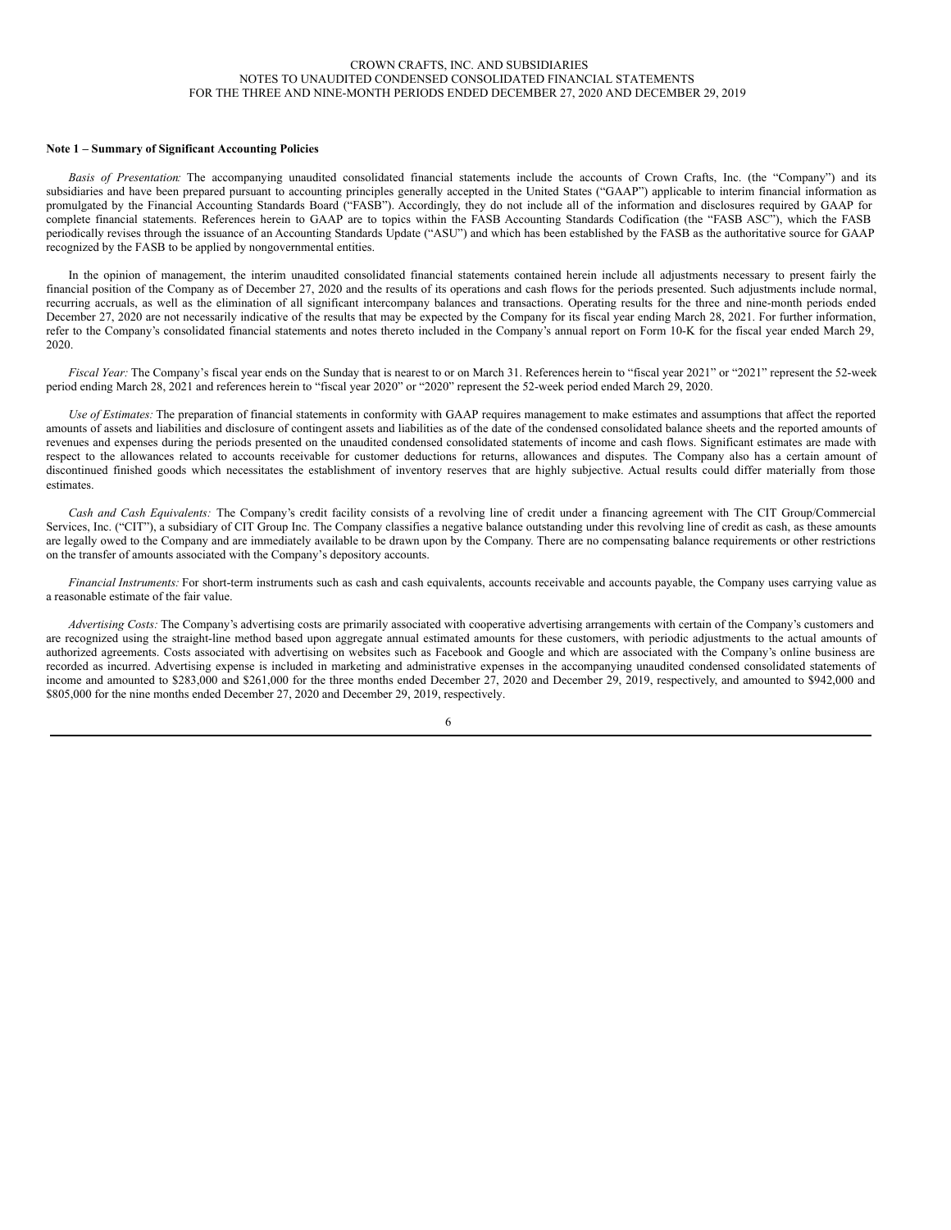### CROWN CRAFTS, INC. AND SUBSIDIARIES NOTES TO UNAUDITED CONDENSED CONSOLIDATED FINANCIAL STATEMENTS FOR THE THREE AND NINE-MONTH PERIODS ENDED DECEMBER 27, 2020 AND DECEMBER 29, 2019

#### **Note 1 – Summary of Significant Accounting Policies**

*Basis of Presentation:* The accompanying unaudited consolidated financial statements include the accounts of Crown Crafts, Inc. (the "Company") and its subsidiaries and have been prepared pursuant to accounting principles generally accepted in the United States ("GAAP") applicable to interim financial information as promulgated by the Financial Accounting Standards Board ("FASB"). Accordingly, they do not include all of the information and disclosures required by GAAP for complete financial statements. References herein to GAAP are to topics within the FASB Accounting Standards Codification (the "FASB ASC"), which the FASB periodically revises through the issuance of an Accounting Standards Update ("ASU") and which has been established by the FASB as the authoritative source for GAAP recognized by the FASB to be applied by nongovernmental entities.

In the opinion of management, the interim unaudited consolidated financial statements contained herein include all adjustments necessary to present fairly the financial position of the Company as of December 27, 2020 and the results of its operations and cash flows for the periods presented. Such adjustments include normal, recurring accruals, as well as the elimination of all significant intercompany balances and transactions. Operating results for the three and nine-month periods ended December 27, 2020 are not necessarily indicative of the results that may be expected by the Company for its fiscal year ending March 28, 2021. For further information, refer to the Company's consolidated financial statements and notes thereto included in the Company's annual report on Form 10-K for the fiscal year ended March 29, 2020.

*Fiscal Year:* The Company's fiscal year ends on the Sunday that is nearest to or on March 31. References herein to "fiscal year 2021" or "2021" represent the 52-week period ending March 28, 2021 and references herein to "fiscal year 2020" or "2020" represent the 52-week period ended March 29, 2020.

*Use of Estimates:* The preparation of financial statements in conformity with GAAP requires management to make estimates and assumptions that affect the reported amounts of assets and liabilities and disclosure of contingent assets and liabilities as of the date of the condensed consolidated balance sheets and the reported amounts of revenues and expenses during the periods presented on the unaudited condensed consolidated statements of income and cash flows. Significant estimates are made with respect to the allowances related to accounts receivable for customer deductions for returns, allowances and disputes. The Company also has a certain amount of discontinued finished goods which necessitates the establishment of inventory reserves that are highly subjective. Actual results could differ materially from those estimates.

*Cash and Cash Equivalents:* The Company's credit facility consists of a revolving line of credit under a financing agreement with The CIT Group/Commercial Services, Inc. ("CIT"), a subsidiary of CIT Group Inc. The Company classifies a negative balance outstanding under this revolving line of credit as cash, as these amounts are legally owed to the Company and are immediately available to be drawn upon by the Company. There are no compensating balance requirements or other restrictions on the transfer of amounts associated with the Company's depository accounts.

*Financial Instruments:* For short-term instruments such as cash and cash equivalents, accounts receivable and accounts payable, the Company uses carrying value as a reasonable estimate of the fair value.

*Advertising Costs:* The Company's advertising costs are primarily associated with cooperative advertising arrangements with certain of the Company's customers and are recognized using the straight-line method based upon aggregate annual estimated amounts for these customers, with periodic adjustments to the actual amounts of authorized agreements. Costs associated with advertising on websites such as Facebook and Google and which are associated with the Company's online business are recorded as incurred. Advertising expense is included in marketing and administrative expenses in the accompanying unaudited condensed consolidated statements of income and amounted to \$283,000 and \$261,000 for the three months ended December 27, 2020 and December 29, 2019, respectively, and amounted to \$942,000 and \$805,000 for the nine months ended December 27, 2020 and December 29, 2019, respectively.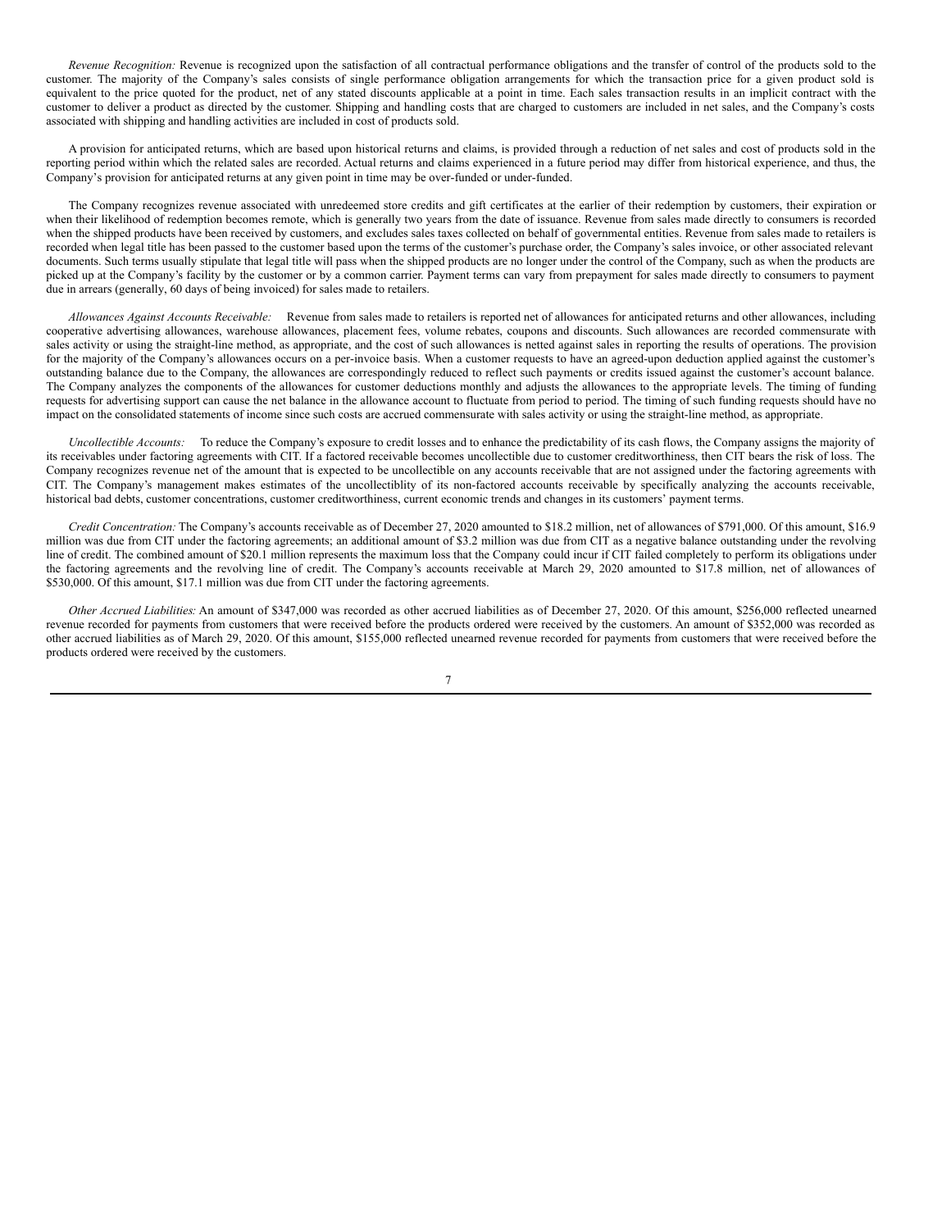*Revenue Recognition:* Revenue is recognized upon the satisfaction of all contractual performance obligations and the transfer of control of the products sold to the customer. The majority of the Company's sales consists of single performance obligation arrangements for which the transaction price for a given product sold is equivalent to the price quoted for the product, net of any stated discounts applicable at a point in time. Each sales transaction results in an implicit contract with the customer to deliver a product as directed by the customer. Shipping and handling costs that are charged to customers are included in net sales, and the Company's costs associated with shipping and handling activities are included in cost of products sold.

A provision for anticipated returns, which are based upon historical returns and claims, is provided through a reduction of net sales and cost of products sold in the reporting period within which the related sales are recorded. Actual returns and claims experienced in a future period may differ from historical experience, and thus, the Company's provision for anticipated returns at any given point in time may be over-funded or under-funded.

The Company recognizes revenue associated with unredeemed store credits and gift certificates at the earlier of their redemption by customers, their expiration or when their likelihood of redemption becomes remote, which is generally two years from the date of issuance. Revenue from sales made directly to consumers is recorded when the shipped products have been received by customers, and excludes sales taxes collected on behalf of governmental entities. Revenue from sales made to retailers is recorded when legal title has been passed to the customer based upon the terms of the customer's purchase order, the Company's sales invoice, or other associated relevant documents. Such terms usually stipulate that legal title will pass when the shipped products are no longer under the control of the Company, such as when the products are picked up at the Company's facility by the customer or by a common carrier. Payment terms can vary from prepayment for sales made directly to consumers to payment due in arrears (generally, 60 days of being invoiced) for sales made to retailers.

*Allowances Against Accounts Receivable:* Revenue from sales made to retailers is reported net of allowances for anticipated returns and other allowances, including cooperative advertising allowances, warehouse allowances, placement fees, volume rebates, coupons and discounts. Such allowances are recorded commensurate with sales activity or using the straight-line method, as appropriate, and the cost of such allowances is netted against sales in reporting the results of operations. The provision for the majority of the Company's allowances occurs on a per-invoice basis. When a customer requests to have an agreed-upon deduction applied against the customer's outstanding balance due to the Company, the allowances are correspondingly reduced to reflect such payments or credits issued against the customer's account balance. The Company analyzes the components of the allowances for customer deductions monthly and adjusts the allowances to the appropriate levels. The timing of funding requests for advertising support can cause the net balance in the allowance account to fluctuate from period to period. The timing of such funding requests should have no impact on the consolidated statements of income since such costs are accrued commensurate with sales activity or using the straight-line method, as appropriate.

*Uncollectible Accounts:* To reduce the Company's exposure to credit losses and to enhance the predictability of its cash flows, the Company assigns the majority of its receivables under factoring agreements with CIT. If a factored receivable becomes uncollectible due to customer creditworthiness, then CIT bears the risk of loss. The Company recognizes revenue net of the amount that is expected to be uncollectible on any accounts receivable that are not assigned under the factoring agreements with CIT. The Company's management makes estimates of the uncollectiblity of its non-factored accounts receivable by specifically analyzing the accounts receivable, historical bad debts, customer concentrations, customer creditworthiness, current economic trends and changes in its customers' payment terms.

*Credit Concentration:* The Company's accounts receivable as of December 27, 2020 amounted to \$18.2 million, net of allowances of \$791,000. Of this amount, \$16.9 million was due from CIT under the factoring agreements; an additional amount of \$3.2 million was due from CIT as a negative balance outstanding under the revolving line of credit. The combined amount of \$20.1 million represents the maximum loss that the Company could incur if CIT failed completely to perform its obligations under the factoring agreements and the revolving line of credit. The Company's accounts receivable at March 29, 2020 amounted to \$17.8 million, net of allowances of \$530,000. Of this amount, \$17.1 million was due from CIT under the factoring agreements.

*Other Accrued Liabilities:* An amount of \$347,000 was recorded as other accrued liabilities as of December 27, 2020. Of this amount, \$256,000 reflected unearned revenue recorded for payments from customers that were received before the products ordered were received by the customers. An amount of \$352,000 was recorded as other accrued liabilities as of March 29, 2020. Of this amount, \$155,000 reflected unearned revenue recorded for payments from customers that were received before the products ordered were received by the customers.

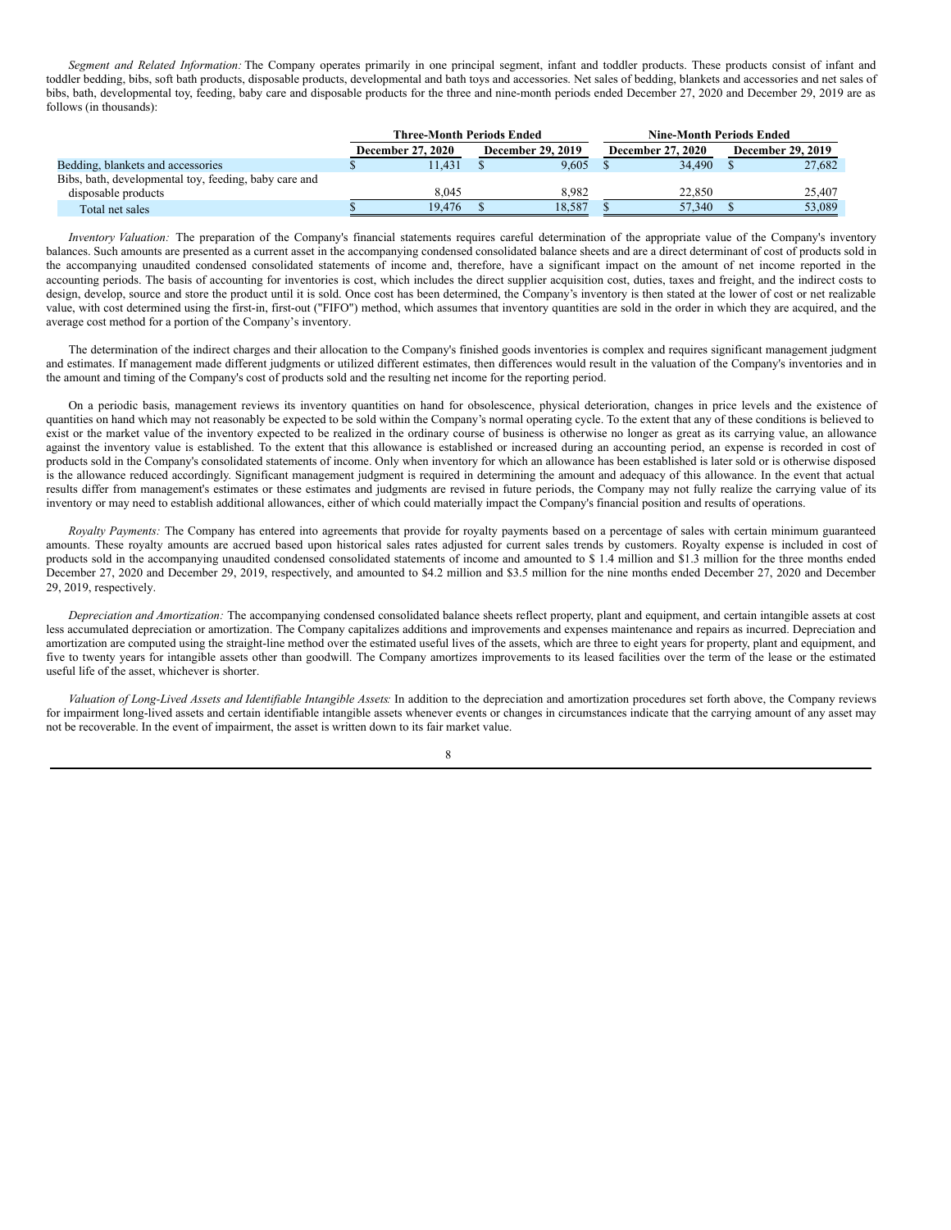*Segment and Related Information:* The Company operates primarily in one principal segment, infant and toddler products. These products consist of infant and toddler bedding, bibs, soft bath products, disposable products, developmental and bath toys and accessories. Net sales of bedding, blankets and accessories and net sales of bibs, bath, developmental toy, feeding, baby care and disposable products for the three and nine-month periods ended December 27, 2020 and December 29, 2019 are as follows (in thousands):

|                                                       | <b>Three-Month Periods Ended</b> |        |  |                          |  | <b>Nine-Month Periods Ended</b> |                          |        |  |  |
|-------------------------------------------------------|----------------------------------|--------|--|--------------------------|--|---------------------------------|--------------------------|--------|--|--|
|                                                       | <b>December 27, 2020</b>         |        |  | <b>December 29, 2019</b> |  | <b>December 27, 2020</b>        | <b>December 29, 2019</b> |        |  |  |
| Bedding, blankets and accessories                     |                                  | 11.431 |  | 9.605                    |  | 34.490                          |                          | 27.682 |  |  |
| Bibs, bath, developmental toy, feeding, baby care and |                                  |        |  |                          |  |                                 |                          |        |  |  |
| disposable products                                   |                                  | 8.045  |  | 8.982                    |  | 22,850                          |                          | 25.407 |  |  |
| Total net sales                                       |                                  | 19.476 |  | 18.587                   |  | 57,340                          |                          | 53,089 |  |  |

*Inventory Valuation:* The preparation of the Company's financial statements requires careful determination of the appropriate value of the Company's inventory balances. Such amounts are presented as a current asset in the accompanying condensed consolidated balance sheets and are a direct determinant of cost of products sold in the accompanying unaudited condensed consolidated statements of income and, therefore, have a significant impact on the amount of net income reported in the accounting periods. The basis of accounting for inventories is cost, which includes the direct supplier acquisition cost, duties, taxes and freight, and the indirect costs to design, develop, source and store the product until it is sold. Once cost has been determined, the Company's inventory is then stated at the lower of cost or net realizable value, with cost determined using the first-in, first-out ("FIFO") method, which assumes that inventory quantities are sold in the order in which they are acquired, and the average cost method for a portion of the Company's inventory.

The determination of the indirect charges and their allocation to the Company's finished goods inventories is complex and requires significant management judgment and estimates. If management made different judgments or utilized different estimates, then differences would result in the valuation of the Company's inventories and in the amount and timing of the Company's cost of products sold and the resulting net income for the reporting period.

On a periodic basis, management reviews its inventory quantities on hand for obsolescence, physical deterioration, changes in price levels and the existence of quantities on hand which may not reasonably be expected to be sold within the Company's normal operating cycle. To the extent that any of these conditions is believed to exist or the market value of the inventory expected to be realized in the ordinary course of business is otherwise no longer as great as its carrying value, an allowance against the inventory value is established. To the extent that this allowance is established or increased during an accounting period, an expense is recorded in cost of products sold in the Company's consolidated statements of income. Only when inventory for which an allowance has been established is later sold or is otherwise disposed is the allowance reduced accordingly. Significant management judgment is required in determining the amount and adequacy of this allowance. In the event that actual results differ from management's estimates or these estimates and judgments are revised in future periods, the Company may not fully realize the carrying value of its inventory or may need to establish additional allowances, either of which could materially impact the Company's financial position and results of operations.

*Royalty Payments:* The Company has entered into agreements that provide for royalty payments based on a percentage of sales with certain minimum guaranteed amounts. These royalty amounts are accrued based upon historical sales rates adjusted for current sales trends by customers. Royalty expense is included in cost of products sold in the accompanying unaudited condensed consolidated statements of income and amounted to \$ 1.4 million and \$1.3 million for the three months ended December 27, 2020 and December 29, 2019, respectively, and amounted to \$4.2 million and \$3.5 million for the nine months ended December 27, 2020 and December 29, 2019, respectively.

*Depreciation and Amortization:* The accompanying condensed consolidated balance sheets reflect property, plant and equipment, and certain intangible assets at cost less accumulated depreciation or amortization. The Company capitalizes additions and improvements and expenses maintenance and repairs as incurred. Depreciation and amortization are computed using the straight-line method over the estimated useful lives of the assets, which are three to eight years for property, plant and equipment, and five to twenty years for intangible assets other than goodwill. The Company amortizes improvements to its leased facilities over the term of the lease or the estimated useful life of the asset, whichever is shorter.

*Valuation of Long-Lived Assets and Identifiable Intangible Assets:* In addition to the depreciation and amortization procedures set forth above, the Company reviews for impairment long-lived assets and certain identifiable intangible assets whenever events or changes in circumstances indicate that the carrying amount of any asset may not be recoverable. In the event of impairment, the asset is written down to its fair market value.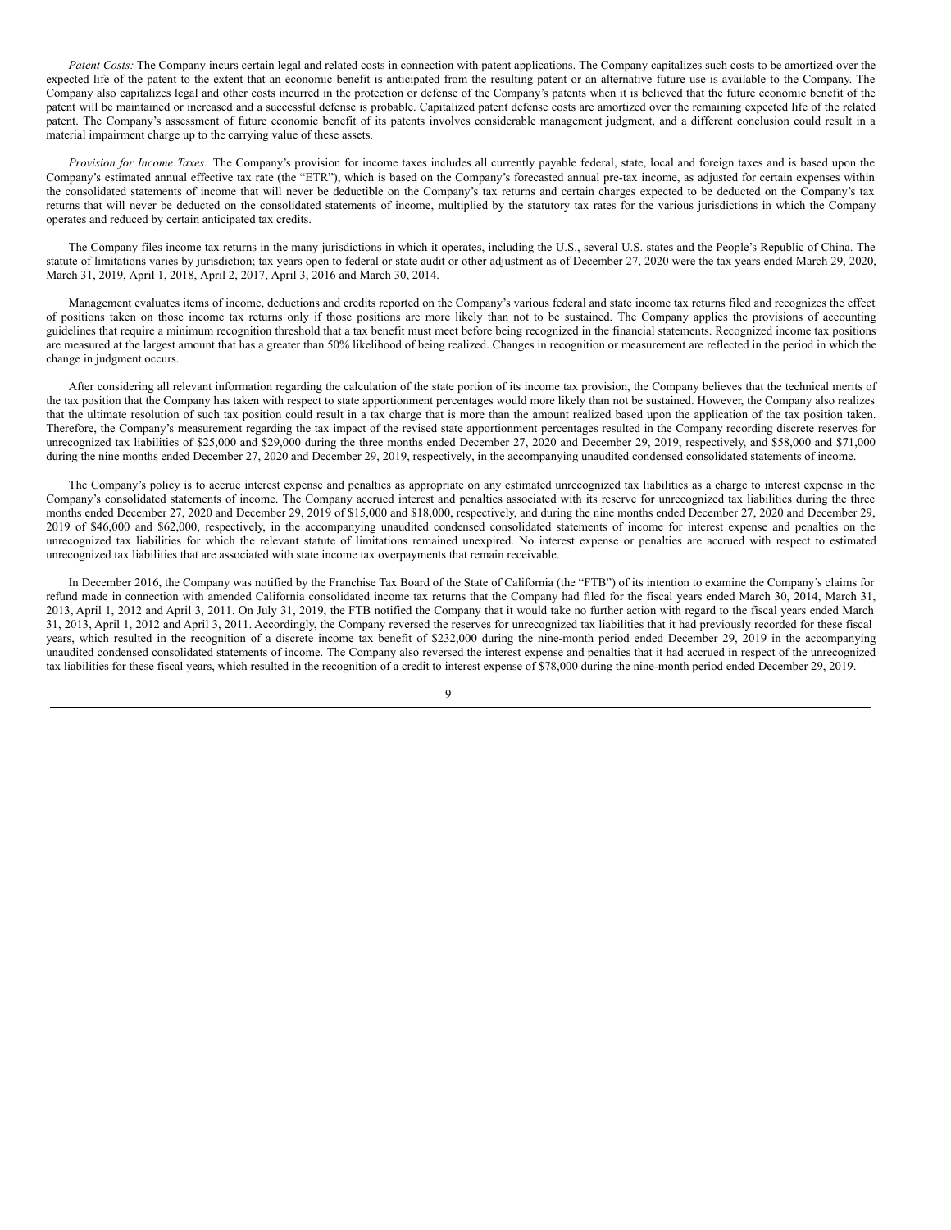*Patent Costs:* The Company incurs certain legal and related costs in connection with patent applications. The Company capitalizes such costs to be amortized over the expected life of the patent to the extent that an economic benefit is anticipated from the resulting patent or an alternative future use is available to the Company. The Company also capitalizes legal and other costs incurred in the protection or defense of the Company's patents when it is believed that the future economic benefit of the patent will be maintained or increased and a successful defense is probable. Capitalized patent defense costs are amortized over the remaining expected life of the related patent. The Company's assessment of future economic benefit of its patents involves considerable management judgment, and a different conclusion could result in a material impairment charge up to the carrying value of these assets.

*Provision for Income Taxes:* The Company's provision for income taxes includes all currently payable federal, state, local and foreign taxes and is based upon the Company's estimated annual effective tax rate (the "ETR"), which is based on the Company's forecasted annual pre-tax income, as adjusted for certain expenses within the consolidated statements of income that will never be deductible on the Company's tax returns and certain charges expected to be deducted on the Company's tax returns that will never be deducted on the consolidated statements of income, multiplied by the statutory tax rates for the various jurisdictions in which the Company operates and reduced by certain anticipated tax credits.

The Company files income tax returns in the many jurisdictions in which it operates, including the U.S., several U.S. states and the People's Republic of China. The statute of limitations varies by jurisdiction; tax years open to federal or state audit or other adjustment as of December 27, 2020 were the tax years ended March 29, 2020, March 31, 2019, April 1, 2018, April 2, 2017, April 3, 2016 and March 30, 2014.

Management evaluates items of income, deductions and credits reported on the Company's various federal and state income tax returns filed and recognizes the effect of positions taken on those income tax returns only if those positions are more likely than not to be sustained. The Company applies the provisions of accounting guidelines that require a minimum recognition threshold that a tax benefit must meet before being recognized in the financial statements. Recognized income tax positions are measured at the largest amount that has a greater than 50% likelihood of being realized. Changes in recognition or measurement are reflected in the period in which the change in judgment occurs.

After considering all relevant information regarding the calculation of the state portion of its income tax provision, the Company believes that the technical merits of the tax position that the Company has taken with respect to state apportionment percentages would more likely than not be sustained. However, the Company also realizes that the ultimate resolution of such tax position could result in a tax charge that is more than the amount realized based upon the application of the tax position taken. Therefore, the Company's measurement regarding the tax impact of the revised state apportionment percentages resulted in the Company recording discrete reserves for unrecognized tax liabilities of \$25,000 and \$29,000 during the three months ended December 27, 2020 and December 29, 2019, respectively, and \$58,000 and \$71,000 during the nine months ended December 27, 2020 and December 29, 2019, respectively, in the accompanying unaudited condensed consolidated statements of income.

The Company's policy is to accrue interest expense and penalties as appropriate on any estimated unrecognized tax liabilities as a charge to interest expense in the Company's consolidated statements of income. The Company accrued interest and penalties associated with its reserve for unrecognized tax liabilities during the three months ended December 27, 2020 and December 29, 2019 of \$15,000 and \$18,000, respectively, and during the nine months ended December 27, 2020 and December 29, 2019 of \$46,000 and \$62,000, respectively, in the accompanying unaudited condensed consolidated statements of income for interest expense and penalties on the unrecognized tax liabilities for which the relevant statute of limitations remained unexpired. No interest expense or penalties are accrued with respect to estimated unrecognized tax liabilities that are associated with state income tax overpayments that remain receivable.

In December 2016, the Company was notified by the Franchise Tax Board of the State of California (the "FTB") of its intention to examine the Company's claims for refund made in connection with amended California consolidated income tax returns that the Company had filed for the fiscal years ended March 30, 2014, March 31, 2013, April 1, 2012 and April 3, 2011. On July 31, 2019, the FTB notified the Company that it would take no further action with regard to the fiscal years ended March 31, 2013, April 1, 2012 and April 3, 2011. Accordingly, the Company reversed the reserves for unrecognized tax liabilities that it had previously recorded for these fiscal years, which resulted in the recognition of a discrete income tax benefit of \$232,000 during the nine-month period ended December 29, 2019 in the accompanying unaudited condensed consolidated statements of income. The Company also reversed the interest expense and penalties that it had accrued in respect of the unrecognized tax liabilities for these fiscal years, which resulted in the recognition of a credit to interest expense of \$78,000 during the nine-month period ended December 29, 2019.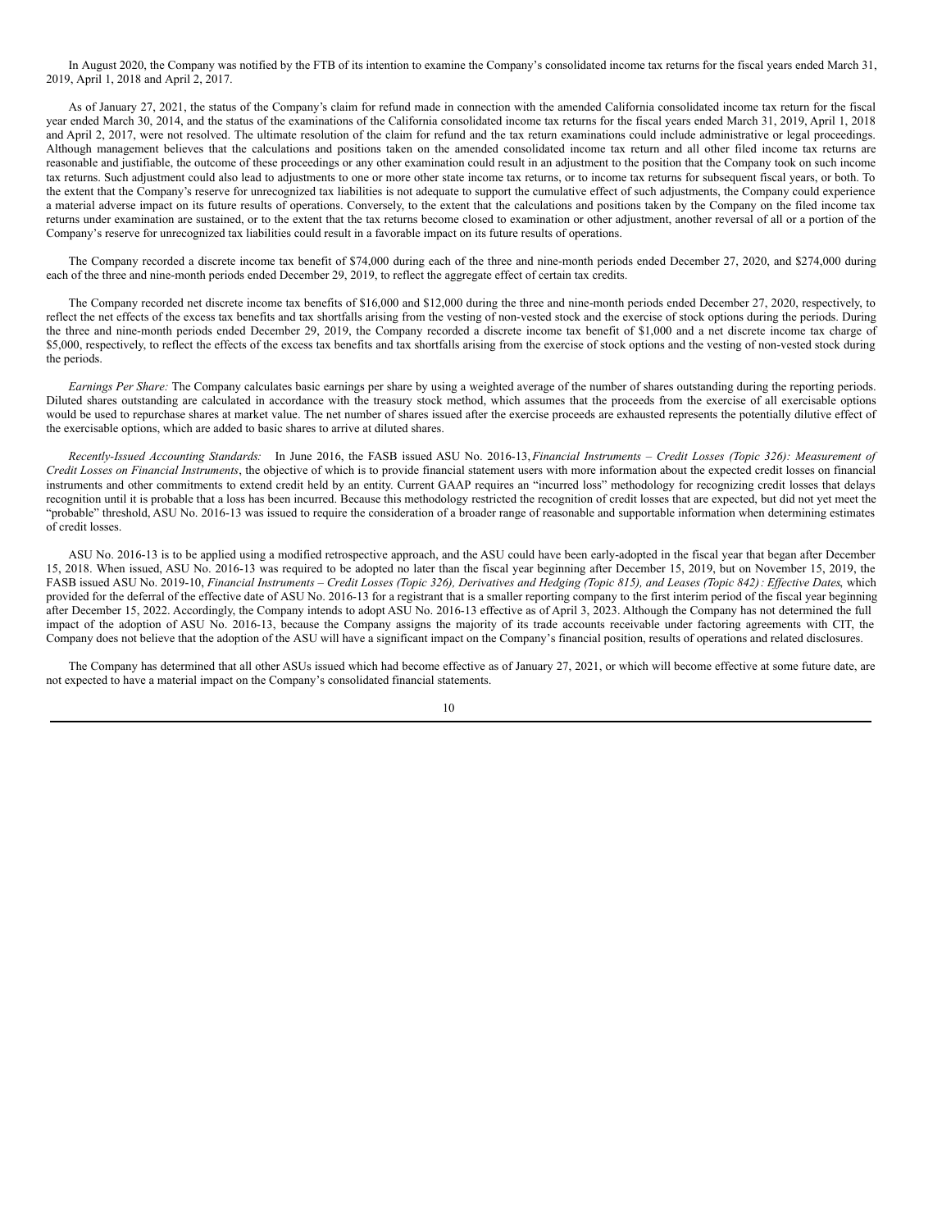In August 2020, the Company was notified by the FTB of its intention to examine the Company's consolidated income tax returns for the fiscal years ended March 31, 2019, April 1, 2018 and April 2, 2017.

As of January 27, 2021, the status of the Company's claim for refund made in connection with the amended California consolidated income tax return for the fiscal year ended March 30, 2014, and the status of the examinations of the California consolidated income tax returns for the fiscal years ended March 31, 2019, April 1, 2018 and April 2, 2017, were not resolved. The ultimate resolution of the claim for refund and the tax return examinations could include administrative or legal proceedings. Although management believes that the calculations and positions taken on the amended consolidated income tax return and all other filed income tax returns are reasonable and justifiable, the outcome of these proceedings or any other examination could result in an adjustment to the position that the Company took on such income tax returns. Such adjustment could also lead to adjustments to one or more other state income tax returns, or to income tax returns for subsequent fiscal years, or both. To the extent that the Company's reserve for unrecognized tax liabilities is not adequate to support the cumulative effect of such adjustments, the Company could experience a material adverse impact on its future results of operations. Conversely, to the extent that the calculations and positions taken by the Company on the filed income tax returns under examination are sustained, or to the extent that the tax returns become closed to examination or other adjustment, another reversal of all or a portion of the Company's reserve for unrecognized tax liabilities could result in a favorable impact on its future results of operations.

The Company recorded a discrete income tax benefit of \$74,000 during each of the three and nine-month periods ended December 27, 2020, and \$274,000 during each of the three and nine-month periods ended December 29, 2019, to reflect the aggregate effect of certain tax credits.

The Company recorded net discrete income tax benefits of \$16,000 and \$12,000 during the three and nine-month periods ended December 27, 2020, respectively, to reflect the net effects of the excess tax benefits and tax shortfalls arising from the vesting of non-vested stock and the exercise of stock options during the periods. During the three and nine-month periods ended December 29, 2019, the Company recorded a discrete income tax benefit of \$1,000 and a net discrete income tax charge of \$5,000, respectively, to reflect the effects of the excess tax benefits and tax shortfalls arising from the exercise of stock options and the vesting of non-vested stock during the periods.

*Earnings Per Share:* The Company calculates basic earnings per share by using a weighted average of the number of shares outstanding during the reporting periods. Diluted shares outstanding are calculated in accordance with the treasury stock method, which assumes that the proceeds from the exercise of all exercisable options would be used to repurchase shares at market value. The net number of shares issued after the exercise proceeds are exhausted represents the potentially dilutive effect of the exercisable options, which are added to basic shares to arrive at diluted shares.

Recently-Issued Accounting Standards: In June 2016, the FASB issued ASU No. 2016-13, Financial Instruments - Credit Losses (Topic 326): Measurement of *Credit Losses on Financial Instruments*, the objective of which is to provide financial statement users with more information about the expected credit losses on financial instruments and other commitments to extend credit held by an entity. Current GAAP requires an "incurred loss" methodology for recognizing credit losses that delays recognition until it is probable that a loss has been incurred. Because this methodology restricted the recognition of credit losses that are expected, but did not yet meet the "probable" threshold, ASU No. 2016-13 was issued to require the consideration of a broader range of reasonable and supportable information when determining estimates of credit losses.

ASU No. 2016-13 is to be applied using a modified retrospective approach, and the ASU could have been early-adopted in the fiscal year that began after December 15, 2018. When issued, ASU No. 2016-13 was required to be adopted no later than the fiscal year beginning after December 15, 2019, but on November 15, 2019, the FASB issued ASU No. 2019-10, Financial Instruments - Credit Losses (Topic 326), Derivatives and Hedging (Topic 815), and Leases (Topic 842): Effective Dates, which provided for the deferral of the effective date of ASU No. 2016-13 for a registrant that is a smaller reporting company to the first interim period of the fiscal year beginning after December 15, 2022. Accordingly, the Company intends to adopt ASU No. 2016-13 effective as of April 3, 2023. Although the Company has not determined the full impact of the adoption of ASU No. 2016-13, because the Company assigns the majority of its trade accounts receivable under factoring agreements with CIT, the Company does not believe that the adoption of the ASU will have a significant impact on the Company's financial position, results of operations and related disclosures.

The Company has determined that all other ASUs issued which had become effective as of January 27, 2021, or which will become effective at some future date, are not expected to have a material impact on the Company's consolidated financial statements.

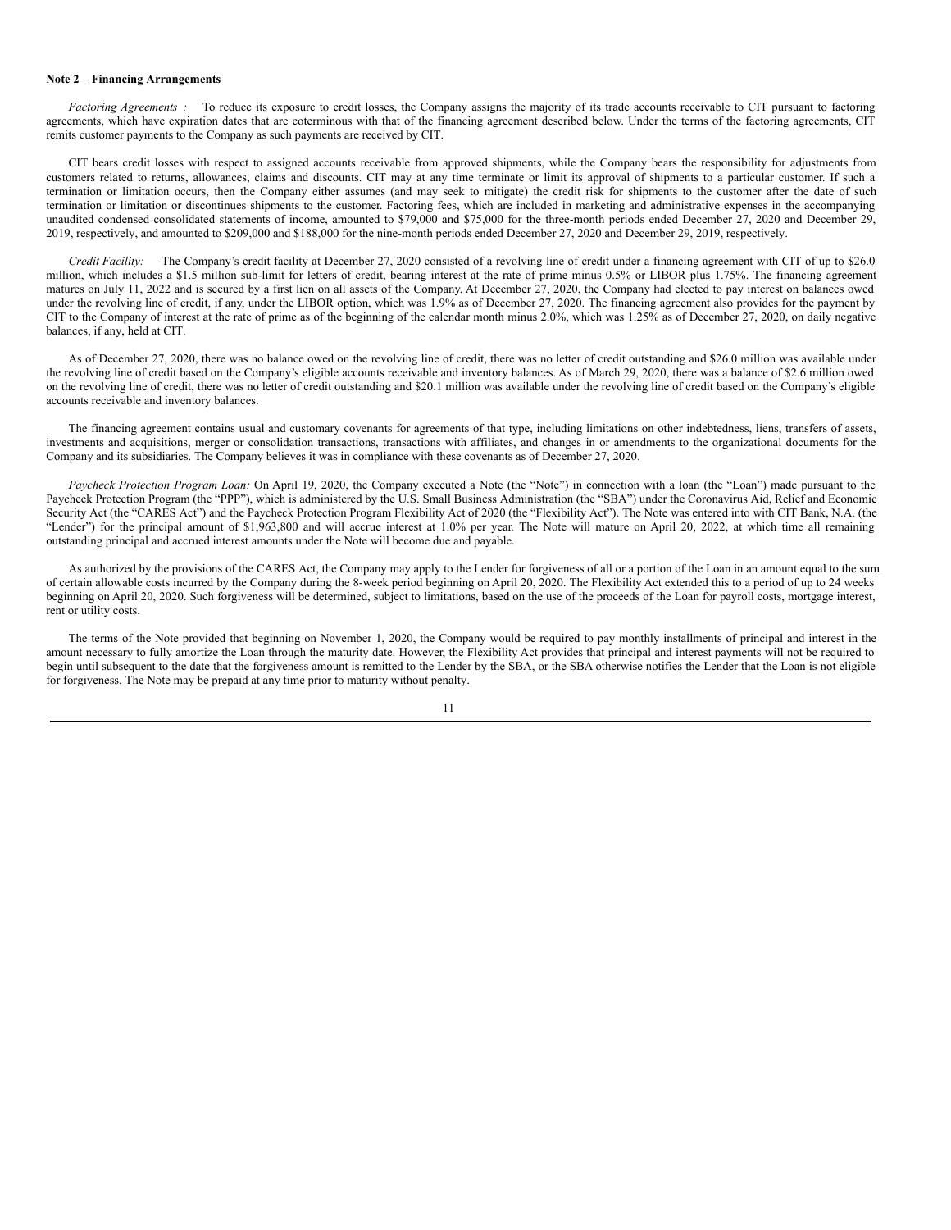#### **Note 2 – Financing Arrangements**

*Factoring Agreements* : To reduce its exposure to credit losses, the Company assigns the majority of its trade accounts receivable to CIT pursuant to factoring agreements, which have expiration dates that are coterminous with that of the financing agreement described below. Under the terms of the factoring agreements, CIT remits customer payments to the Company as such payments are received by CIT.

CIT bears credit losses with respect to assigned accounts receivable from approved shipments, while the Company bears the responsibility for adjustments from customers related to returns, allowances, claims and discounts. CIT may at any time terminate or limit its approval of shipments to a particular customer. If such a termination or limitation occurs, then the Company either assumes (and may seek to mitigate) the credit risk for shipments to the customer after the date of such termination or limitation or discontinues shipments to the customer. Factoring fees, which are included in marketing and administrative expenses in the accompanying unaudited condensed consolidated statements of income, amounted to \$79,000 and \$75,000 for the three-month periods ended December 27, 2020 and December 29, 2019, respectively, and amounted to \$209,000 and \$188,000 for the nine-month periods ended December 27, 2020 and December 29, 2019, respectively.

*Credit Facility:* The Company's credit facility at December 27, 2020 consisted of a revolving line of credit under a financing agreement with CIT of up to \$26.0 million, which includes a \$1.5 million sub-limit for letters of credit, bearing interest at the rate of prime minus 0.5% or LIBOR plus 1.75%. The financing agreement matures on July 11, 2022 and is secured by a first lien on all assets of the Company. At December 27, 2020, the Company had elected to pay interest on balances owed under the revolving line of credit, if any, under the LIBOR option, which was 1.9% as of December 27, 2020. The financing agreement also provides for the payment by CIT to the Company of interest at the rate of prime as of the beginning of the calendar month minus 2.0%, which was 1.25% as of December 27, 2020, on daily negative balances, if any, held at CIT.

As of December 27, 2020, there was no balance owed on the revolving line of credit, there was no letter of credit outstanding and \$26.0 million was available under the revolving line of credit based on the Company's eligible accounts receivable and inventory balances. As of March 29, 2020, there was a balance of \$2.6 million owed on the revolving line of credit, there was no letter of credit outstanding and \$20.1 million was available under the revolving line of credit based on the Company's eligible accounts receivable and inventory balances.

The financing agreement contains usual and customary covenants for agreements of that type, including limitations on other indebtedness, liens, transfers of assets, investments and acquisitions, merger or consolidation transactions, transactions with affiliates, and changes in or amendments to the organizational documents for the Company and its subsidiaries. The Company believes it was in compliance with these covenants as of December 27, 2020.

*Paycheck Protection Program Loan:* On April 19, 2020, the Company executed a Note (the "Note") in connection with a loan (the "Loan") made pursuant to the Paycheck Protection Program (the "PPP"), which is administered by the U.S. Small Business Administration (the "SBA") under the Coronavirus Aid, Relief and Economic Security Act (the "CARES Act") and the Paycheck Protection Program Flexibility Act of 2020 (the "Flexibility Act"). The Note was entered into with CIT Bank, N.A. (the "Lender") for the principal amount of \$1,963,800 and will accrue interest at 1.0% per year. The Note will mature on April 20, 2022, at which time all remaining outstanding principal and accrued interest amounts under the Note will become due and payable.

As authorized by the provisions of the CARES Act, the Company may apply to the Lender for forgiveness of all or a portion of the Loan in an amount equal to the sum of certain allowable costs incurred by the Company during the 8-week period beginning on April 20, 2020. The Flexibility Act extended this to a period of up to 24 weeks beginning on April 20, 2020. Such forgiveness will be determined, subject to limitations, based on the use of the proceeds of the Loan for payroll costs, mortgage interest, rent or utility costs.

The terms of the Note provided that beginning on November 1, 2020, the Company would be required to pay monthly installments of principal and interest in the amount necessary to fully amortize the Loan through the maturity date. However, the Flexibility Act provides that principal and interest payments will not be required to begin until subsequent to the date that the forgiveness amount is remitted to the Lender by the SBA, or the SBA otherwise notifies the Lender that the Loan is not eligible for forgiveness. The Note may be prepaid at any time prior to maturity without penalty.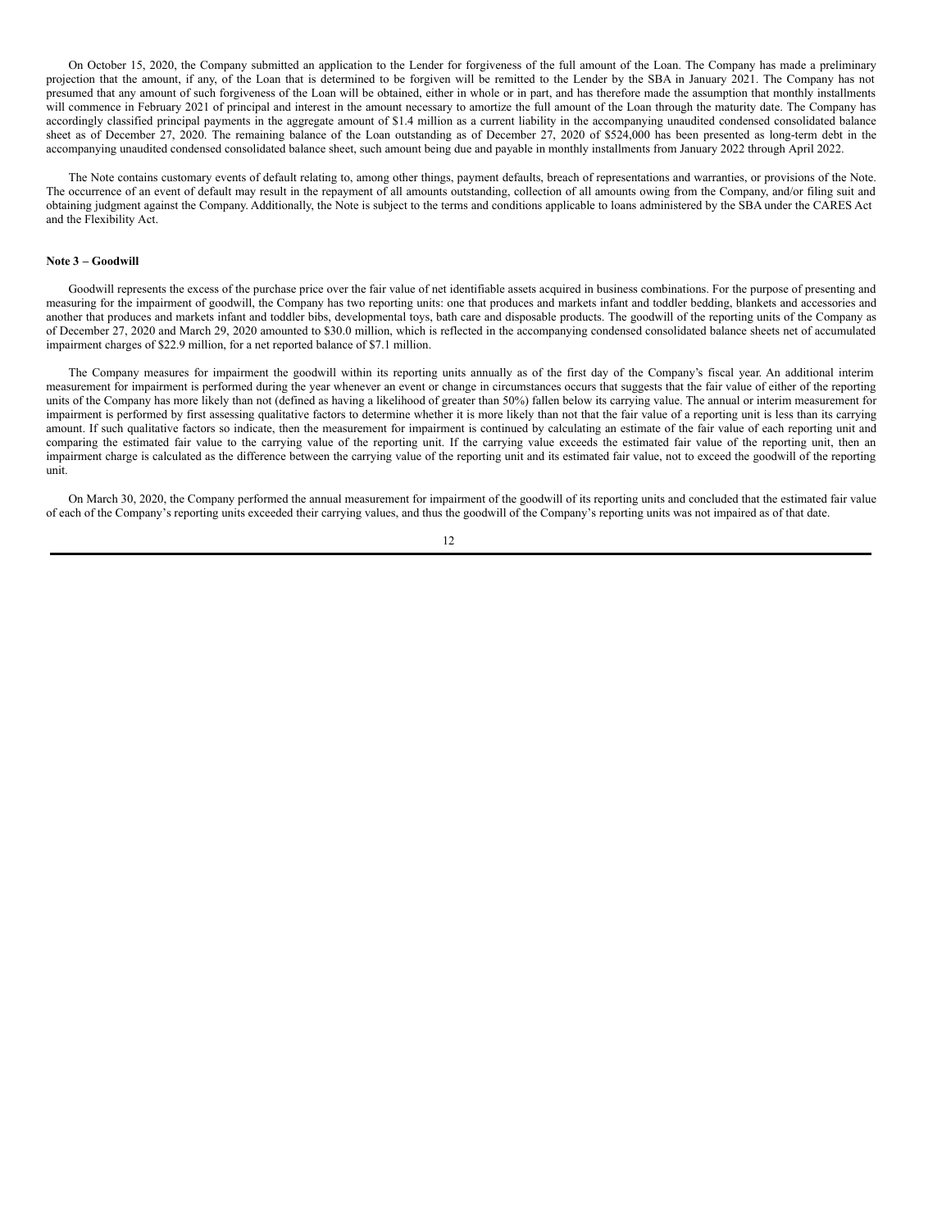On October 15, 2020, the Company submitted an application to the Lender for forgiveness of the full amount of the Loan. The Company has made a preliminary projection that the amount, if any, of the Loan that is determined to be forgiven will be remitted to the Lender by the SBA in January 2021. The Company has not presumed that any amount of such forgiveness of the Loan will be obtained, either in whole or in part, and has therefore made the assumption that monthly installments will commence in February 2021 of principal and interest in the amount necessary to amortize the full amount of the Loan through the maturity date. The Company has accordingly classified principal payments in the aggregate amount of \$1.4 million as a current liability in the accompanying unaudited condensed consolidated balance sheet as of December 27, 2020. The remaining balance of the Loan outstanding as of December 27, 2020 of \$524,000 has been presented as long-term debt in the accompanying unaudited condensed consolidated balance sheet, such amount being due and payable in monthly installments from January 2022 through April 2022.

The Note contains customary events of default relating to, among other things, payment defaults, breach of representations and warranties, or provisions of the Note. The occurrence of an event of default may result in the repayment of all amounts outstanding, collection of all amounts owing from the Company, and/or filing suit and obtaining judgment against the Company. Additionally, the Note is subject to the terms and conditions applicable to loans administered by the SBA under the CARES Act and the Flexibility Act.

#### **Note 3 – Goodwill**

Goodwill represents the excess of the purchase price over the fair value of net identifiable assets acquired in business combinations. For the purpose of presenting and measuring for the impairment of goodwill, the Company has two reporting units: one that produces and markets infant and toddler bedding, blankets and accessories and another that produces and markets infant and toddler bibs, developmental toys, bath care and disposable products. The goodwill of the reporting units of the Company as of December 27, 2020 and March 29, 2020 amounted to \$30.0 million, which is reflected in the accompanying condensed consolidated balance sheets net of accumulated impairment charges of \$22.9 million, for a net reported balance of \$7.1 million.

The Company measures for impairment the goodwill within its reporting units annually as of the first day of the Company's fiscal year. An additional interim measurement for impairment is performed during the year whenever an event or change in circumstances occurs that suggests that the fair value of either of the reporting units of the Company has more likely than not (defined as having a likelihood of greater than 50%) fallen below its carrying value. The annual or interim measurement for impairment is performed by first assessing qualitative factors to determine whether it is more likely than not that the fair value of a reporting unit is less than its carrying amount. If such qualitative factors so indicate, then the measurement for impairment is continued by calculating an estimate of the fair value of each reporting unit and comparing the estimated fair value to the carrying value of the reporting unit. If the carrying value exceeds the estimated fair value of the reporting unit, then an impairment charge is calculated as the difference between the carrying value of the reporting unit and its estimated fair value, not to exceed the goodwill of the reporting unit.

On March 30, 2020, the Company performed the annual measurement for impairment of the goodwill of its reporting units and concluded that the estimated fair value of each of the Company's reporting units exceeded their carrying values, and thus the goodwill of the Company's reporting units was not impaired as of that date.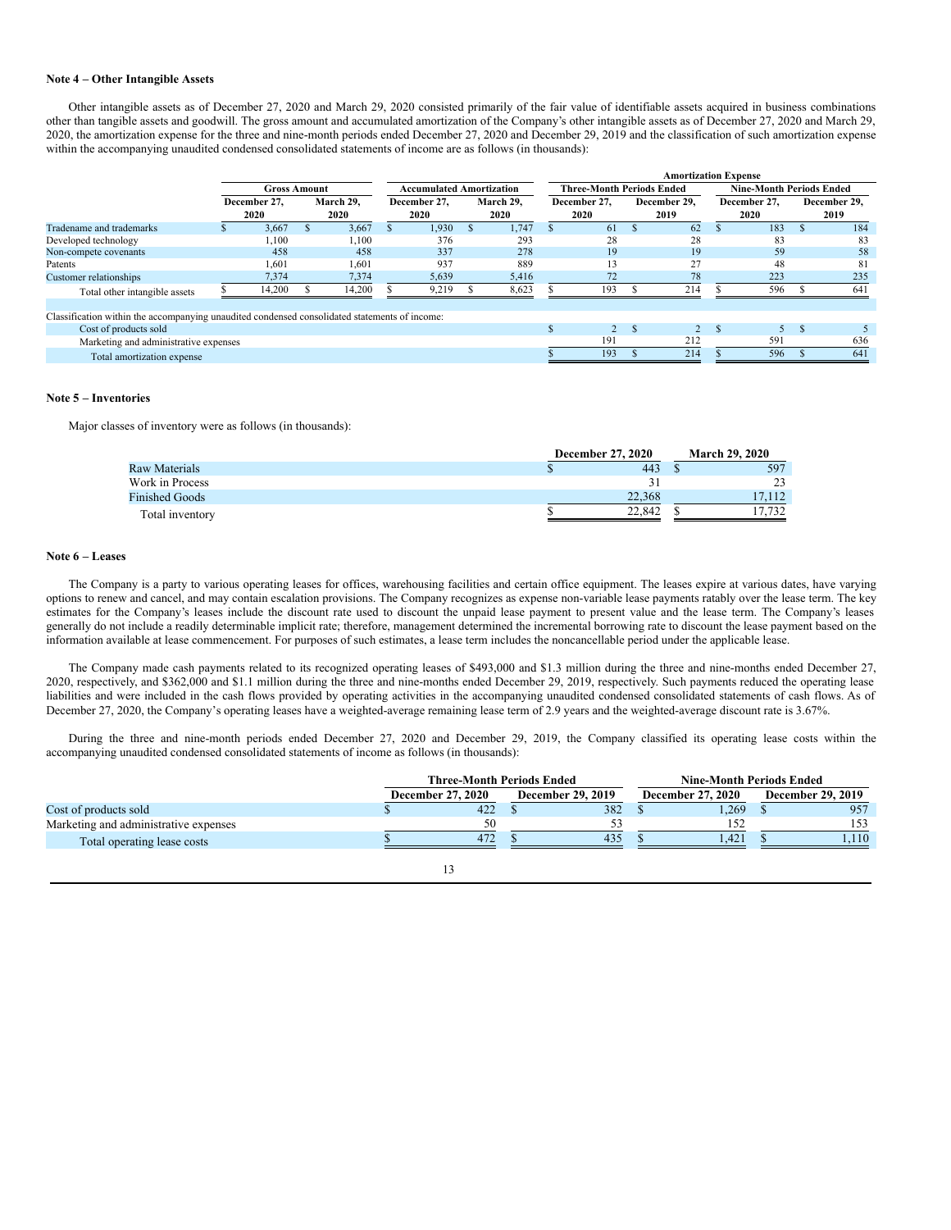#### **Note 4 – Other Intangible Assets**

Other intangible assets as of December 27, 2020 and March 29, 2020 consisted primarily of the fair value of identifiable assets acquired in business combinations other than tangible assets and goodwill. The gross amount and accumulated amortization of the Company's other intangible assets as of December 27, 2020 and March 29, 2020, the amortization expense for the three and nine-month periods ended December 27, 2020 and December 29, 2019 and the classification of such amortization expense within the accompanying unaudited condensed consolidated statements of income are as follows (in thousands):

|                                                                                               |                     |                           |               |                                 |                           |       |                                  |       |              |      |                                 | <b>Amortization Expense</b> |              |      |               |      |
|-----------------------------------------------------------------------------------------------|---------------------|---------------------------|---------------|---------------------------------|---------------------------|-------|----------------------------------|-------|--------------|------|---------------------------------|-----------------------------|--------------|------|---------------|------|
|                                                                                               | <b>Gross Amount</b> |                           |               | <b>Accumulated Amortization</b> |                           |       | <b>Three-Month Periods Ended</b> |       |              |      | <b>Nine-Month Periods Ended</b> |                             |              |      |               |      |
|                                                                                               |                     | March 29.<br>December 27. |               |                                 | December 27,<br>March 29. |       | December 27,                     |       | December 29. |      | December 27.                    |                             | December 29. |      |               |      |
|                                                                                               |                     | 2020                      |               | 2020                            |                           | 2020  |                                  | 2020  |              | 2020 |                                 | 2019                        |              | 2020 |               | 2019 |
| Tradename and trademarks                                                                      |                     | 3,667                     | $\mathcal{L}$ | 3,667                           |                           | 1.930 |                                  | 1.747 |              | 61   |                                 | 62                          |              | 183  | э             | 184  |
| Developed technology                                                                          |                     | ,100                      |               | 1.100                           |                           | 376   |                                  | 293   |              | 28   |                                 | 28                          |              | 83   |               | 83   |
| Non-compete covenants                                                                         |                     | 458                       |               | 458                             |                           | 337   |                                  | 278   |              | 19   |                                 | 19                          |              | 59   |               | 58   |
| Patents                                                                                       |                     | 601. ا                    |               | 1,601                           |                           | 937   |                                  | 889   |              | 13   |                                 | 27                          |              | 48   |               | 81   |
| Customer relationships                                                                        |                     | 7,374                     |               | 7.374                           |                           | 5.639 |                                  | 5,416 |              | 72   |                                 | 78                          |              | 223  |               | 235  |
| Total other intangible assets                                                                 |                     | 14,200                    |               | 14,200                          |                           | 9,219 |                                  | 8,623 |              | 193  |                                 | 214                         |              | 596  |               | 641  |
|                                                                                               |                     |                           |               |                                 |                           |       |                                  |       |              |      |                                 |                             |              |      |               |      |
| Classification within the accompanying unaudited condensed consolidated statements of income: |                     |                           |               |                                 |                           |       |                                  |       |              |      |                                 |                             |              |      |               |      |
| Cost of products sold                                                                         |                     |                           |               |                                 |                           |       |                                  |       |              |      | ×                               |                             |              |      | <sup>\$</sup> |      |
| Marketing and administrative expenses                                                         |                     |                           |               |                                 |                           |       |                                  |       |              | 191  |                                 | 212                         |              | 591  |               | 636  |
| Total amortization expense                                                                    |                     |                           |               |                                 |                           |       |                                  |       |              | 193  |                                 | 214                         |              | 596  |               | 641  |

### **Note 5 – Inventories**

Major classes of inventory were as follows (in thousands):

|                       | <b>December 27, 2020</b> | <b>March 29, 2020</b> |  |  |
|-----------------------|--------------------------|-----------------------|--|--|
| Raw Materials         | 443                      | 597                   |  |  |
| Work in Process       |                          | 23                    |  |  |
| <b>Finished Goods</b> | 22.368                   | 17.112                |  |  |
| Total inventory       | 22,842                   | 17.732                |  |  |

#### **Note 6 – Leases**

The Company is a party to various operating leases for offices, warehousing facilities and certain office equipment. The leases expire at various dates, have varying options to renew and cancel, and may contain escalation provisions. The Company recognizes as expense non-variable lease payments ratably over the lease term. The key estimates for the Company's leases include the discount rate used to discount the unpaid lease payment to present value and the lease term. The Company's leases generally do not include a readily determinable implicit rate; therefore, management determined the incremental borrowing rate to discount the lease payment based on the information available at lease commencement. For purposes of such estimates, a lease term includes the noncancellable period under the applicable lease.

The Company made cash payments related to its recognized operating leases of \$493,000 and \$1.3 million during the three and nine-months ended December 27, 2020, respectively, and \$362,000 and \$1.1 million during the three and nine-months ended December 29, 2019, respectively. Such payments reduced the operating lease liabilities and were included in the cash flows provided by operating activities in the accompanying unaudited condensed consolidated statements of cash flows. As of December 27, 2020, the Company's operating leases have a weighted-average remaining lease term of 2.9 years and the weighted-average discount rate is 3.67%.

During the three and nine-month periods ended December 27, 2020 and December 29, 2019, the Company classified its operating lease costs within the accompanying unaudited condensed consolidated statements of income as follows (in thousands):

|                                       | <b>Three-Month Periods Ended</b> |  |                          |  | <b>Nine-Month Periods Ended</b> |  |                          |  |  |
|---------------------------------------|----------------------------------|--|--------------------------|--|---------------------------------|--|--------------------------|--|--|
|                                       | <b>December 27, 2020</b>         |  | <b>December 29, 2019</b> |  | <b>December 27, 2020</b>        |  | <b>December 29, 2019</b> |  |  |
| Cost of products sold                 | 422                              |  | 382                      |  | .269                            |  | 957                      |  |  |
| Marketing and administrative expenses | 50                               |  |                          |  | 152                             |  | 153                      |  |  |
| Total operating lease costs           | 472                              |  | 435                      |  | 1.421                           |  | 1.110.                   |  |  |
|                                       |                                  |  |                          |  |                                 |  |                          |  |  |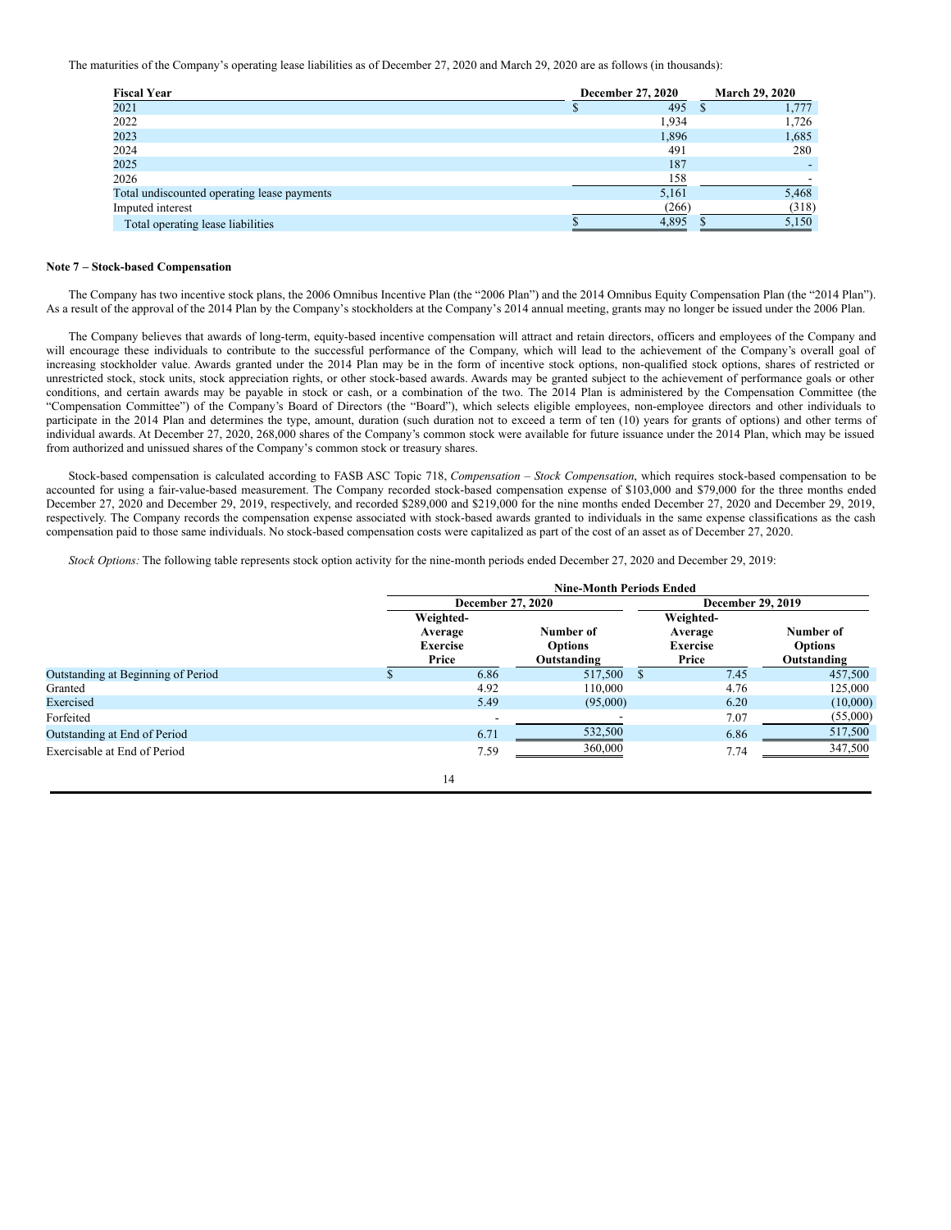The maturities of the Company's operating lease liabilities as of December 27, 2020 and March 29, 2020 are as follows (in thousands):

| <b>Fiscal Year</b>                          | December 27, 2020 | <b>March 29, 2020</b> |
|---------------------------------------------|-------------------|-----------------------|
| 2021                                        | 495               | 1,777                 |
| 2022                                        | 1,934             | 1,726                 |
| 2023                                        | 1,896             | 1,685                 |
| 2024                                        | 491               | 280                   |
| 2025                                        | 187               |                       |
| 2026                                        | 158               |                       |
| Total undiscounted operating lease payments | 5,161             | 5,468                 |
| Imputed interest                            | (266)             | (318)                 |
| Total operating lease liabilities           | 4.895             | 5,150                 |

### **Note 7 – Stock-based Compensation**

The Company has two incentive stock plans, the 2006 Omnibus Incentive Plan (the "2006 Plan") and the 2014 Omnibus Equity Compensation Plan (the "2014 Plan"). As a result of the approval of the 2014 Plan by the Company's stockholders at the Company's 2014 annual meeting, grants may no longer be issued under the 2006 Plan.

The Company believes that awards of long-term, equity-based incentive compensation will attract and retain directors, officers and employees of the Company and will encourage these individuals to contribute to the successful performance of the Company, which will lead to the achievement of the Company's overall goal of increasing stockholder value. Awards granted under the 2014 Plan may be in the form of incentive stock options, non-qualified stock options, shares of restricted or unrestricted stock, stock units, stock appreciation rights, or other stock-based awards. Awards may be granted subject to the achievement of performance goals or other conditions, and certain awards may be payable in stock or cash, or a combination of the two. The 2014 Plan is administered by the Compensation Committee (the "Compensation Committee") of the Company's Board of Directors (the "Board"), which selects eligible employees, non-employee directors and other individuals to participate in the 2014 Plan and determines the type, amount, duration (such duration not to exceed a term of ten (10) years for grants of options) and other terms of individual awards. At December 27, 2020, 268,000 shares of the Company's common stock were available for future issuance under the 2014 Plan, which may be issued from authorized and unissued shares of the Company's common stock or treasury shares.

Stock-based compensation is calculated according to FASB ASC Topic 718, *Compensation – Stock Compensation*, which requires stock-based compensation to be accounted for using a fair-value-based measurement. The Company recorded stock-based compensation expense of \$103,000 and \$79,000 for the three months ended December 27, 2020 and December 29, 2019, respectively, and recorded \$289,000 and \$219,000 for the nine months ended December 27, 2020 and December 29, 2019, respectively. The Company records the compensation expense associated with stock-based awards granted to individuals in the same expense classifications as the cash compensation paid to those same individuals. No stock-based compensation costs were capitalized as part of the cost of an asset as of December 27, 2020.

*Stock Options:* The following table represents stock option activity for the nine-month periods ended December 27, 2020 and December 29, 2019:

|                                    | <b>Nine-Month Periods Ended</b>                  |                                            |                                                  |                          |                                            |          |  |  |
|------------------------------------|--------------------------------------------------|--------------------------------------------|--------------------------------------------------|--------------------------|--------------------------------------------|----------|--|--|
|                                    |                                                  | December 27, 2020                          |                                                  | <b>December 29, 2019</b> |                                            |          |  |  |
|                                    | Weighted-<br>Average<br><b>Exercise</b><br>Price | Number of<br><b>Options</b><br>Outstanding | Weighted-<br>Average<br><b>Exercise</b><br>Price |                          | Number of<br><b>Options</b><br>Outstanding |          |  |  |
| Outstanding at Beginning of Period |                                                  | 6.86                                       | 517,500                                          | - \$                     | 7.45                                       | 457,500  |  |  |
| Granted                            |                                                  | 4.92                                       | 110,000                                          |                          | 4.76                                       | 125,000  |  |  |
| Exercised                          |                                                  | 5.49                                       | (95,000)                                         |                          | 6.20                                       | (10,000) |  |  |
| Forfeited                          |                                                  |                                            |                                                  |                          | 7.07                                       | (55,000) |  |  |
| Outstanding at End of Period       |                                                  | 6.71                                       | 532,500                                          |                          | 6.86                                       | 517,500  |  |  |
| Exercisable at End of Period       |                                                  | 7.59                                       | 360,000                                          |                          | 7.74                                       | 347,500  |  |  |
|                                    |                                                  | 14                                         |                                                  |                          |                                            |          |  |  |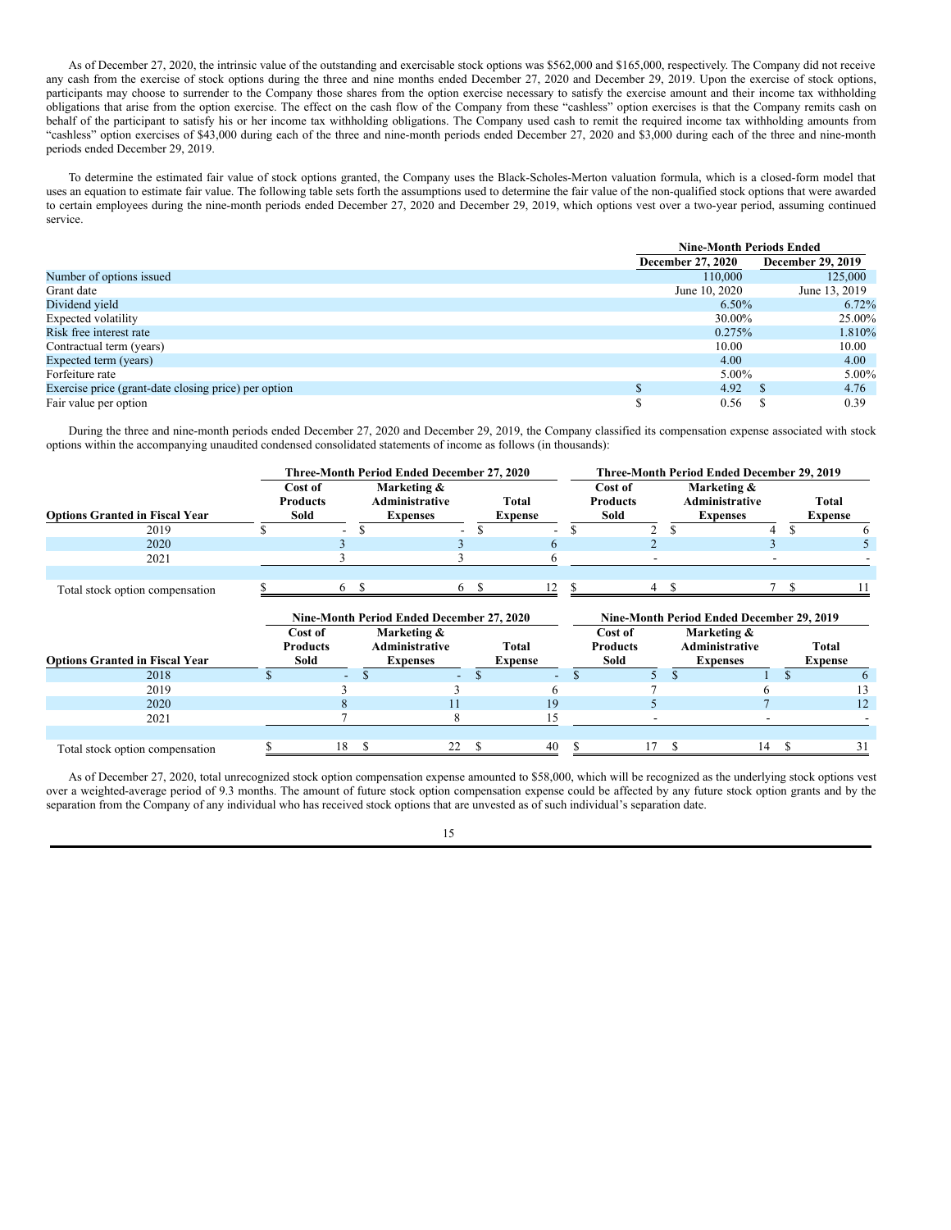As of December 27, 2020, the intrinsic value of the outstanding and exercisable stock options was \$562,000 and \$165,000, respectively. The Company did not receive any cash from the exercise of stock options during the three and nine months ended December 27, 2020 and December 29, 2019. Upon the exercise of stock options, participants may choose to surrender to the Company those shares from the option exercise necessary to satisfy the exercise amount and their income tax withholding obligations that arise from the option exercise. The effect on the cash flow of the Company from these "cashless" option exercises is that the Company remits cash on behalf of the participant to satisfy his or her income tax withholding obligations. The Company used cash to remit the required income tax withholding amounts from "cashless" option exercises of \$43,000 during each of the three and nine-month periods ended December 27, 2020 and \$3,000 during each of the three and nine-month periods ended December 29, 2019.

To determine the estimated fair value of stock options granted, the Company uses the Black-Scholes-Merton valuation formula, which is a closed-form model that uses an equation to estimate fair value. The following table sets forth the assumptions used to determine the fair value of the non-qualified stock options that were awarded to certain employees during the nine-month periods ended December 27, 2020 and December 29, 2019, which options vest over a two-year period, assuming continued service.

|                                                      |                          | <b>Nine-Month Periods Ended</b> |                          |  |  |
|------------------------------------------------------|--------------------------|---------------------------------|--------------------------|--|--|
|                                                      | <b>December 27, 2020</b> |                                 | <b>December 29, 2019</b> |  |  |
| Number of options issued                             |                          | 110,000                         | 125,000                  |  |  |
| Grant date                                           | June 10, 2020            |                                 | June 13, 2019            |  |  |
| Dividend yield                                       |                          | $6.50\%$                        | $6.72\%$                 |  |  |
| Expected volatility                                  |                          | 30.00%                          | 25.00%                   |  |  |
| Risk free interest rate                              |                          | 0.275%                          | 1.810%                   |  |  |
| Contractual term (years)                             |                          | 10.00                           | 10.00                    |  |  |
| Expected term (years)                                |                          | 4.00                            | 4.00                     |  |  |
| Forfeiture rate                                      |                          | 5.00%                           | 5.00%                    |  |  |
| Exercise price (grant-date closing price) per option |                          | 4.92                            | 4.76                     |  |  |
| Fair value per option                                |                          | 0.56                            | 0.39                     |  |  |

During the three and nine-month periods ended December 27, 2020 and December 29, 2019, the Company classified its compensation expense associated with stock options within the accompanying unaudited condensed consolidated statements of income as follows (in thousands):

|                                       |                                    |                 |                                                  |   | Three-Month Period Ended December 27, 2020 |    |   |                                    |    | Three-Month Period Ended December 29, 2019               |    |                         |
|---------------------------------------|------------------------------------|-----------------|--------------------------------------------------|---|--------------------------------------------|----|---|------------------------------------|----|----------------------------------------------------------|----|-------------------------|
| <b>Options Granted in Fiscal Year</b> | Cost of<br><b>Products</b><br>Sold |                 | Marketing &<br>Administrative<br><b>Expenses</b> |   | Total<br><b>Expense</b>                    |    |   | Cost of<br><b>Products</b><br>Sold |    | Marketing &<br>Administrative<br><b>Expenses</b>         |    | Total<br><b>Expense</b> |
| 2019                                  |                                    |                 | S                                                |   |                                            |    | S | 2                                  | S  | 4                                                        | S  | 6                       |
| 2020                                  |                                    |                 |                                                  |   |                                            | 6. |   |                                    |    |                                                          |    |                         |
| 2021                                  |                                    |                 |                                                  |   |                                            |    |   |                                    |    |                                                          |    |                         |
|                                       |                                    |                 |                                                  |   |                                            |    |   |                                    |    |                                                          |    |                         |
| Total stock option compensation       |                                    | 6               | $\mathbb{S}$                                     | 6 | -S                                         | 12 |   | $\overline{4}$                     | -S |                                                          | -S | 11                      |
|                                       |                                    |                 | Nine-Month Period Ended December 27, 2020        |   |                                            |    |   |                                    |    |                                                          |    |                         |
|                                       |                                    | Cost of         | Marketing &                                      |   |                                            |    |   | Cost of                            |    | Nine-Month Period Ended December 29, 2019<br>Marketing & |    |                         |
|                                       |                                    | <b>Products</b> | <b>Administrative</b>                            |   | Total                                      |    |   | <b>Products</b>                    |    | Administrative                                           |    | Total                   |
| <b>Options Granted in Fiscal Year</b> |                                    | Sold            | <b>Expenses</b>                                  |   | <b>Expense</b>                             |    |   | Sold                               |    | <b>Expenses</b>                                          |    | <b>Expense</b>          |
| 2018                                  |                                    |                 |                                                  |   |                                            |    |   |                                    |    |                                                          |    |                         |
| 2019                                  |                                    |                 |                                                  |   |                                            |    |   |                                    |    |                                                          |    | 13                      |
| 2020                                  |                                    |                 |                                                  |   |                                            | 19 |   |                                    |    |                                                          |    | 12                      |
| 2021                                  |                                    |                 |                                                  | 8 |                                            | 15 |   | $\blacksquare$                     |    | $\blacksquare$                                           |    |                         |
|                                       |                                    |                 |                                                  |   |                                            |    |   |                                    |    |                                                          |    |                         |

As of December 27, 2020, total unrecognized stock option compensation expense amounted to \$58,000, which will be recognized as the underlying stock options vest over a weighted-average period of 9.3 months. The amount of future stock option compensation expense could be affected by any future stock option grants and by the separation from the Company of any individual who has received stock options that are unvested as of such individual's separation date.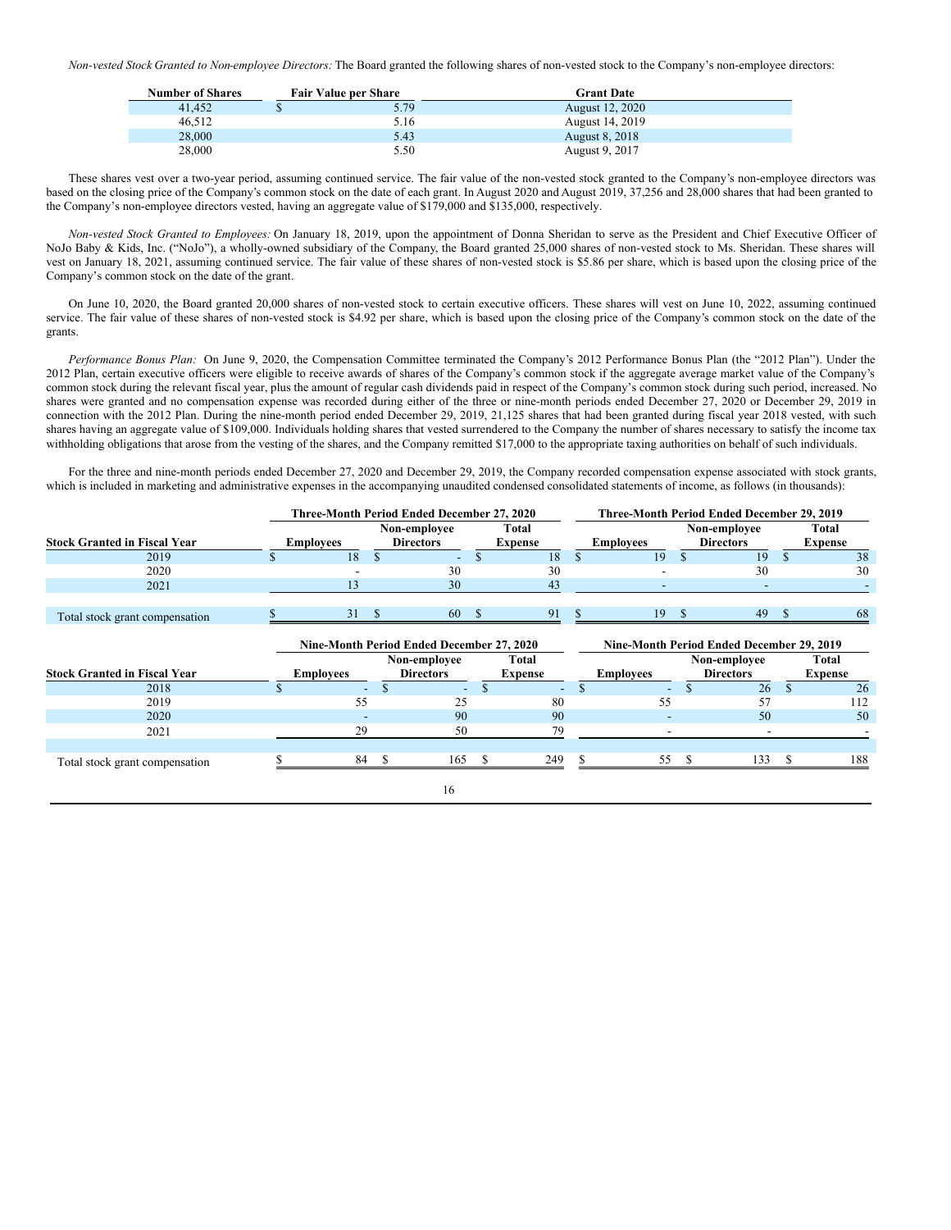*Non-vested Stock Granted to Non-employee Directors:* The Board granted the following shares of non-vested stock to the Company's non-employee directors:

| <b>Number of Shares</b> | <b>Fair Value per Share</b> | <b>Grant Date</b>     |
|-------------------------|-----------------------------|-----------------------|
| 41.452                  | 5.79                        | August 12, 2020       |
| 46.512                  | 5.16                        | August 14, 2019       |
| 28,000                  | 5.43                        | <b>August 8, 2018</b> |
| 28,000                  | 5.50                        | August 9, 2017        |

These shares vest over a two-year period, assuming continued service. The fair value of the non-vested stock granted to the Company's non-employee directors was based on the closing price of the Company's common stock on the date of each grant. In August 2020 and August 2019, 37,256 and 28,000 shares that had been granted to the Company's non-employee directors vested, having an aggregate value of \$179,000 and \$135,000, respectively.

*Non-vested Stock Granted to Employees:* On January 18, 2019, upon the appointment of Donna Sheridan to serve as the President and Chief Executive Officer of NoJo Baby & Kids, Inc. ("NoJo"), a wholly-owned subsidiary of the Company, the Board granted 25,000 shares of non-vested stock to Ms. Sheridan. These shares will vest on January 18, 2021, assuming continued service. The fair value of these shares of non-vested stock is \$5.86 per share, which is based upon the closing price of the Company's common stock on the date of the grant.

On June 10, 2020, the Board granted 20,000 shares of non-vested stock to certain executive officers. These shares will vest on June 10, 2022, assuming continued service. The fair value of these shares of non-vested stock is \$4.92 per share, which is based upon the closing price of the Company's common stock on the date of the grants.

*Performance Bonus Plan:* On June 9, 2020, the Compensation Committee terminated the Company's 2012 Performance Bonus Plan (the "2012 Plan"). Under the 2012 Plan, certain executive officers were eligible to receive awards of shares of the Company's common stock if the aggregate average market value of the Company's common stock during the relevant fiscal year, plus the amount of regular cash dividends paid in respect of the Company's common stock during such period, increased. No shares were granted and no compensation expense was recorded during either of the three or nine-month periods ended December 27, 2020 or December 29, 2019 in connection with the 2012 Plan. During the nine-month period ended December 29, 2019, 21,125 shares that had been granted during fiscal year 2018 vested, with such shares having an aggregate value of \$109,000. Individuals holding shares that vested surrendered to the Company the number of shares necessary to satisfy the income tax withholding obligations that arose from the vesting of the shares, and the Company remitted \$17,000 to the appropriate taxing authorities on behalf of such individuals.

For the three and nine-month periods ended December 27, 2020 and December 29, 2019, the Company recorded compensation expense associated with stock grants, which is included in marketing and administrative expenses in the accompanying unaudited condensed consolidated statements of income, as follows (in thousands):

|                                     |                  | Three-Month Period Ended December 27, 2020 |                                           |      |                                |    |                          | Three-Month Period Ended December 29, 2019 |                                           |               |                         |  |  |  |  |
|-------------------------------------|------------------|--------------------------------------------|-------------------------------------------|------|--------------------------------|----|--------------------------|--------------------------------------------|-------------------------------------------|---------------|-------------------------|--|--|--|--|
| <b>Stock Granted in Fiscal Year</b> | <b>Employees</b> |                                            | Non-employee<br><b>Directors</b>          |      | <b>Total</b><br><b>Expense</b> |    | <b>Employees</b>         |                                            | Non-employee<br><b>Directors</b>          |               | Total<br><b>Expense</b> |  |  |  |  |
| 2019                                |                  | \$<br>18                                   | $\overline{\phantom{a}}$                  | \$.  | 18                             | \$ | 19                       |                                            | 19                                        | $\mathcal{S}$ | 38                      |  |  |  |  |
| 2020                                |                  |                                            | 30                                        |      | 30                             |    |                          |                                            | 30                                        |               | 30                      |  |  |  |  |
| 2021                                |                  | 13                                         | 30                                        |      | 43                             |    | ۰                        |                                            | $\overline{\phantom{a}}$                  |               |                         |  |  |  |  |
| Total stock grant compensation      |                  | 31S                                        | 60                                        | - \$ | 91                             |    | 19                       | - \$                                       | 49                                        | - \$          | 68                      |  |  |  |  |
|                                     |                  |                                            | Nine-Month Period Ended December 27, 2020 |      |                                |    |                          |                                            | Nine-Month Period Ended December 29, 2019 |               |                         |  |  |  |  |
| <b>Stock Granted in Fiscal Year</b> |                  | <b>Employees</b>                           | Non-employee<br><b>Directors</b>          |      | Total<br><b>Expense</b>        |    | <b>Employees</b>         |                                            | Non-employee<br><b>Directors</b>          |               | Total<br><b>Expense</b> |  |  |  |  |
| 2018                                |                  |                                            |                                           |      |                                |    | ۰.                       |                                            | 26                                        | $\mathbf{s}$  | 26                      |  |  |  |  |
| 2019                                |                  | 55                                         | 25                                        |      | 80                             |    | 55                       |                                            | 57                                        |               | 112                     |  |  |  |  |
| 2020                                |                  |                                            | 90                                        |      | 90                             |    |                          |                                            | 50                                        |               | 50                      |  |  |  |  |
| 2021                                |                  | 29                                         | 50                                        |      | 79                             |    | $\overline{\phantom{a}}$ |                                            | $\overline{\phantom{a}}$                  |               |                         |  |  |  |  |
| Total stock grant compensation      |                  | 84                                         | 165<br>- S                                | -S   | 249                            |    | 55                       | -S                                         | 133                                       | -S            | 188                     |  |  |  |  |
|                                     |                  |                                            | 16                                        |      |                                |    |                          |                                            |                                           |               |                         |  |  |  |  |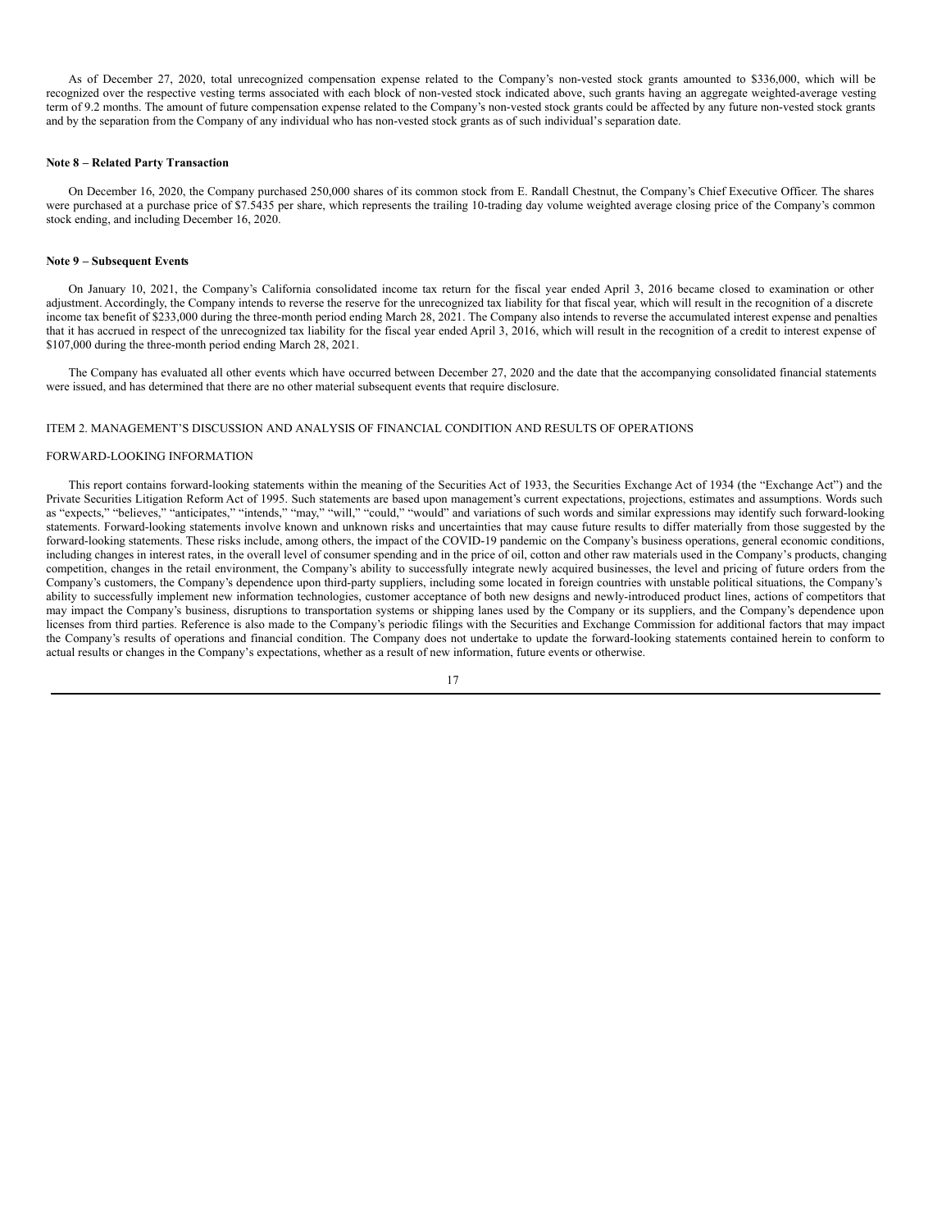As of December 27, 2020, total unrecognized compensation expense related to the Company's non-vested stock grants amounted to \$336,000, which will be recognized over the respective vesting terms associated with each block of non-vested stock indicated above, such grants having an aggregate weighted-average vesting term of 9.2 months. The amount of future compensation expense related to the Company's non-vested stock grants could be affected by any future non-vested stock grants and by the separation from the Company of any individual who has non-vested stock grants as of such individual's separation date.

### **Note 8 – Related Party Transaction**

On December 16, 2020, the Company purchased 250,000 shares of its common stock from E. Randall Chestnut, the Company's Chief Executive Officer. The shares were purchased at a purchase price of \$7.5435 per share, which represents the trailing 10-trading day volume weighted average closing price of the Company's common stock ending, and including December 16, 2020.

#### **Note 9 – Subsequent Events**

On January 10, 2021, the Company's California consolidated income tax return for the fiscal year ended April 3, 2016 became closed to examination or other adjustment. Accordingly, the Company intends to reverse the reserve for the unrecognized tax liability for that fiscal year, which will result in the recognition of a discrete income tax benefit of \$233,000 during the three-month period ending March 28, 2021. The Company also intends to reverse the accumulated interest expense and penalties that it has accrued in respect of the unrecognized tax liability for the fiscal year ended April 3, 2016, which will result in the recognition of a credit to interest expense of \$107,000 during the three-month period ending March 28, 2021.

The Company has evaluated all other events which have occurred between December 27, 2020 and the date that the accompanying consolidated financial statements were issued, and has determined that there are no other material subsequent events that require disclosure.

### ITEM 2. MANAGEMENT'S DISCUSSION AND ANALYSIS OF FINANCIAL CONDITION AND RESULTS OF OPERATIONS

#### FORWARD-LOOKING INFORMATION

This report contains forward-looking statements within the meaning of the Securities Act of 1933, the Securities Exchange Act of 1934 (the "Exchange Act") and the Private Securities Litigation Reform Act of 1995. Such statements are based upon management's current expectations, projections, estimates and assumptions. Words such as "expects," "believes," "anticipates," "intends," "may," "will," "could," "would" and variations of such words and similar expressions may identify such forward-looking statements. Forward-looking statements involve known and unknown risks and uncertainties that may cause future results to differ materially from those suggested by the forward-looking statements. These risks include, among others, the impact of the COVID-19 pandemic on the Company's business operations, general economic conditions, including changes in interest rates, in the overall level of consumer spending and in the price of oil, cotton and other raw materials used in the Company's products, changing competition, changes in the retail environment, the Company's ability to successfully integrate newly acquired businesses, the level and pricing of future orders from the Company's customers, the Company's dependence upon third-party suppliers, including some located in foreign countries with unstable political situations, the Company's ability to successfully implement new information technologies, customer acceptance of both new designs and newly-introduced product lines, actions of competitors that may impact the Company's business, disruptions to transportation systems or shipping lanes used by the Company or its suppliers, and the Company's dependence upon licenses from third parties. Reference is also made to the Company's periodic filings with the Securities and Exchange Commission for additional factors that may impact the Company's results of operations and financial condition. The Company does not undertake to update the forward-looking statements contained herein to conform to actual results or changes in the Company's expectations, whether as a result of new information, future events or otherwise.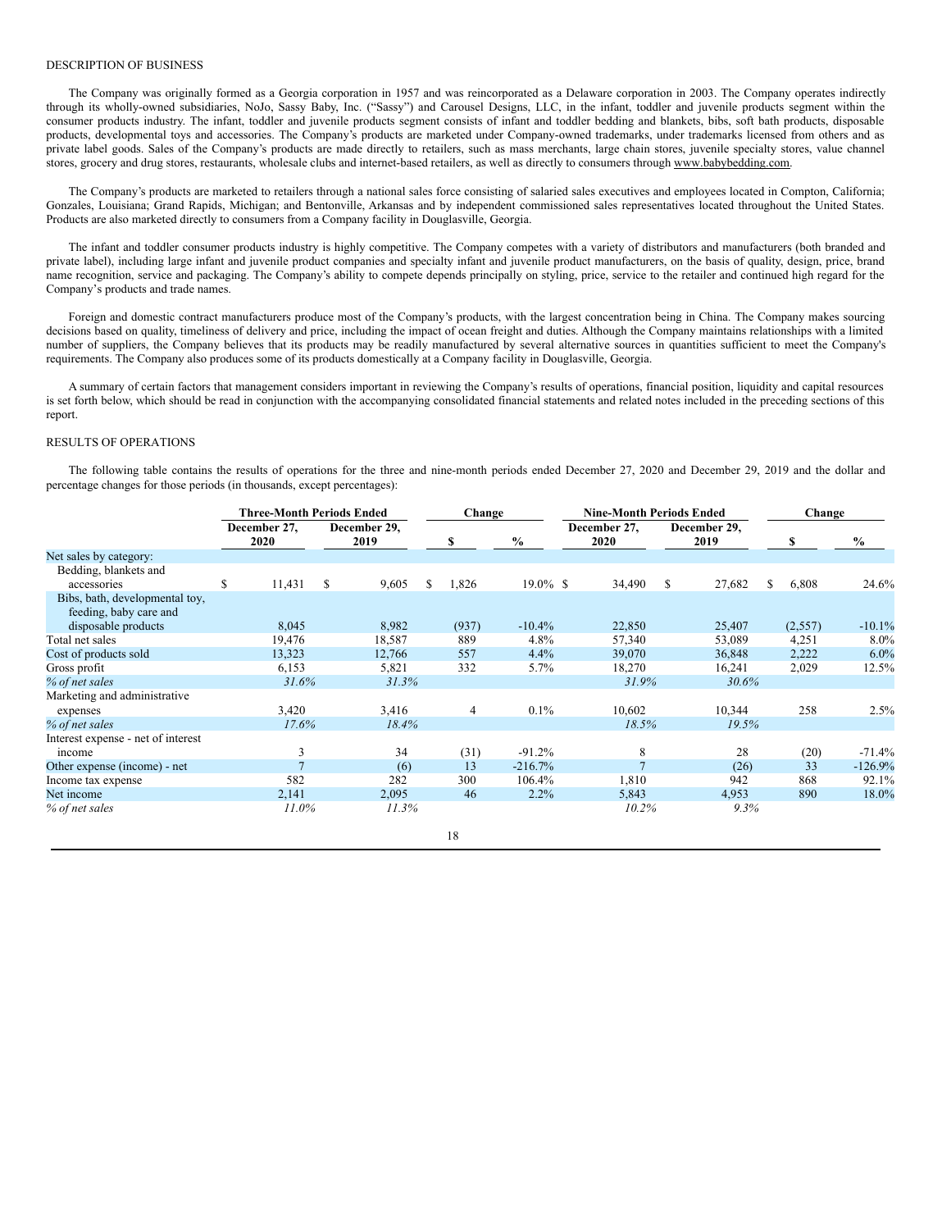#### DESCRIPTION OF BUSINESS

The Company was originally formed as a Georgia corporation in 1957 and was reincorporated as a Delaware corporation in 2003. The Company operates indirectly through its wholly-owned subsidiaries, NoJo, Sassy Baby, Inc. ("Sassy") and Carousel Designs, LLC, in the infant, toddler and juvenile products segment within the consumer products industry. The infant, toddler and juvenile products segment consists of infant and toddler bedding and blankets, bibs, soft bath products, disposable products, developmental toys and accessories. The Company's products are marketed under Company-owned trademarks, under trademarks licensed from others and as private label goods. Sales of the Company's products are made directly to retailers, such as mass merchants, large chain stores, juvenile specialty stores, value channel stores, grocery and drug stores, restaurants, wholesale clubs and internet-based retailers, as well as directly to consumers through www.babybedding.com.

The Company's products are marketed to retailers through a national sales force consisting of salaried sales executives and employees located in Compton, California; Gonzales, Louisiana; Grand Rapids, Michigan; and Bentonville, Arkansas and by independent commissioned sales representatives located throughout the United States. Products are also marketed directly to consumers from a Company facility in Douglasville, Georgia.

The infant and toddler consumer products industry is highly competitive. The Company competes with a variety of distributors and manufacturers (both branded and private label), including large infant and juvenile product companies and specialty infant and juvenile product manufacturers, on the basis of quality, design, price, brand name recognition, service and packaging. The Company's ability to compete depends principally on styling, price, service to the retailer and continued high regard for the Company's products and trade names.

Foreign and domestic contract manufacturers produce most of the Company's products, with the largest concentration being in China. The Company makes sourcing decisions based on quality, timeliness of delivery and price, including the impact of ocean freight and duties. Although the Company maintains relationships with a limited number of suppliers, the Company believes that its products may be readily manufactured by several alternative sources in quantities sufficient to meet the Company's requirements. The Company also produces some of its products domestically at a Company facility in Douglasville, Georgia.

A summary of certain factors that management considers important in reviewing the Company's results of operations, financial position, liquidity and capital resources is set forth below, which should be read in conjunction with the accompanying consolidated financial statements and related notes included in the preceding sections of this report.

### RESULTS OF OPERATIONS

The following table contains the results of operations for the three and nine-month periods ended December 27, 2020 and December 29, 2019 and the dollar and percentage changes for those periods (in thousands, except percentages):

|                                    | <b>Three-Month Periods Ended</b> |                      |   |                      | Change |                |             | <b>Nine-Month Periods Ended</b> |                      |    |                      |    | Change  |           |  |
|------------------------------------|----------------------------------|----------------------|---|----------------------|--------|----------------|-------------|---------------------------------|----------------------|----|----------------------|----|---------|-----------|--|
|                                    |                                  | December 27,<br>2020 |   | December 29,<br>2019 |        |                | $\%$        |                                 | December 27,<br>2020 |    | December 29,<br>2019 |    |         | $\%$      |  |
| Net sales by category:             |                                  |                      |   |                      |        |                |             |                                 |                      |    |                      |    |         |           |  |
| Bedding, blankets and              |                                  |                      |   |                      |        |                |             |                                 |                      |    |                      |    |         |           |  |
| accessories                        | \$                               | 11,431               | S | 9,605                | S      | 1,826          | $19.0\%$ \$ |                                 | 34,490               | \$ | 27,682               | \$ | 6,808   | 24.6%     |  |
| Bibs, bath, developmental toy,     |                                  |                      |   |                      |        |                |             |                                 |                      |    |                      |    |         |           |  |
| feeding, baby care and             |                                  |                      |   |                      |        |                |             |                                 |                      |    |                      |    |         |           |  |
| disposable products                |                                  | 8,045                |   | 8,982                |        | (937)          | $-10.4%$    |                                 | 22,850               |    | 25,407               |    | (2,557) | $-10.1%$  |  |
| Total net sales                    |                                  | 19,476               |   | 18,587               |        | 889            | 4.8%        |                                 | 57,340               |    | 53,089               |    | 4,251   | $8.0\%$   |  |
| Cost of products sold              |                                  | 13,323               |   | 12,766               |        | 557            | 4.4%        |                                 | 39,070               |    | 36,848               |    | 2,222   | $6.0\%$   |  |
| Gross profit                       |                                  | 6,153                |   | 5,821                |        | 332            | $5.7\%$     |                                 | 18,270               |    | 16,241               |    | 2,029   | 12.5%     |  |
| % of net sales                     |                                  | 31.6%                |   | 31.3%                |        |                |             |                                 | 31.9%                |    | 30.6%                |    |         |           |  |
| Marketing and administrative       |                                  |                      |   |                      |        |                |             |                                 |                      |    |                      |    |         |           |  |
| expenses                           |                                  | 3,420                |   | 3,416                |        | $\overline{4}$ | 0.1%        |                                 | 10,602               |    | 10,344               |    | 258     | 2.5%      |  |
| % of net sales                     |                                  | 17.6%                |   | 18.4%                |        |                |             |                                 | 18.5%                |    | 19.5%                |    |         |           |  |
| Interest expense - net of interest |                                  |                      |   |                      |        |                |             |                                 |                      |    |                      |    |         |           |  |
| income                             |                                  | 3                    |   | 34                   |        | (31)           | $-91.2%$    |                                 | 8                    |    | 28                   |    | (20)    | $-71.4%$  |  |
| Other expense (income) - net       |                                  | $\overline{7}$       |   | (6)                  |        | 13             | $-216.7%$   |                                 | $\overline{7}$       |    | (26)                 |    | 33      | $-126.9%$ |  |
| Income tax expense                 |                                  | 582                  |   | 282                  |        | 300            | 106.4%      |                                 | 1,810                |    | 942                  |    | 868     | 92.1%     |  |
| Net income                         |                                  | 2,141                |   | 2,095                |        | 46             | 2.2%        |                                 | 5,843                |    | 4,953                |    | 890     | 18.0%     |  |
| % of net sales                     |                                  | $11.0\%$             |   | $11.3\%$             |        |                |             |                                 | 10.2%                |    | 9.3%                 |    |         |           |  |
|                                    |                                  |                      |   |                      |        | 18             |             |                                 |                      |    |                      |    |         |           |  |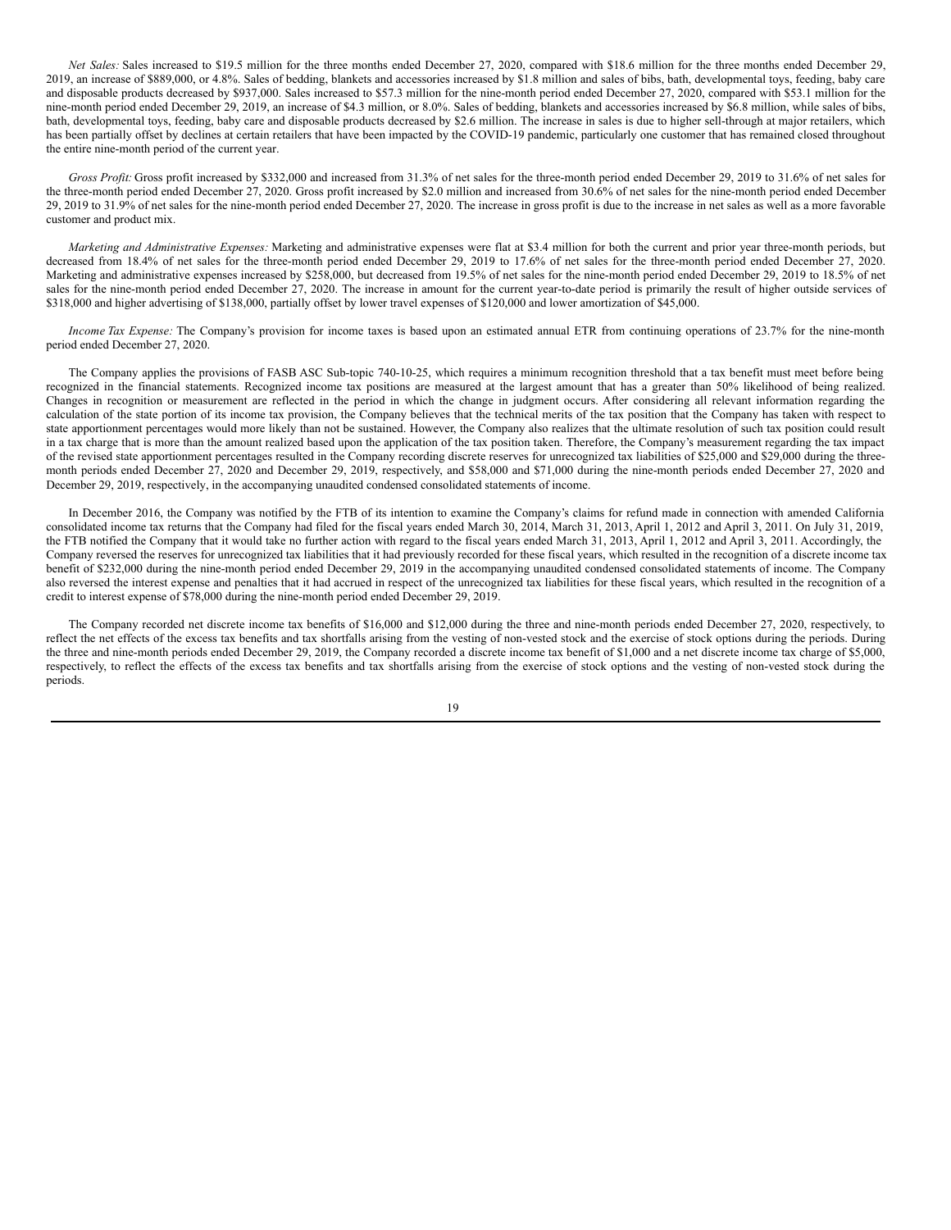*Net Sales:* Sales increased to \$19.5 million for the three months ended December 27, 2020, compared with \$18.6 million for the three months ended December 29, 2019, an increase of \$889,000, or 4.8%. Sales of bedding, blankets and accessories increased by \$1.8 million and sales of bibs, bath, developmental toys, feeding, baby care and disposable products decreased by \$937,000. Sales increased to \$57.3 million for the nine-month period ended December 27, 2020, compared with \$53.1 million for the nine-month period ended December 29, 2019, an increase of \$4.3 million, or 8.0%. Sales of bedding, blankets and accessories increased by \$6.8 million, while sales of bibs, bath, developmental toys, feeding, baby care and disposable products decreased by \$2.6 million. The increase in sales is due to higher sell-through at major retailers, which has been partially offset by declines at certain retailers that have been impacted by the COVID-19 pandemic, particularly one customer that has remained closed throughout the entire nine-month period of the current year.

*Gross Profit:* Gross profit increased by \$332,000 and increased from 31.3% of net sales for the three-month period ended December 29, 2019 to 31.6% of net sales for the three-month period ended December 27, 2020. Gross profit increased by \$2.0 million and increased from 30.6% of net sales for the nine-month period ended December 29, 2019 to 31.9% of net sales for the nine-month period ended December 27, 2020. The increase in gross profit is due to the increase in net sales as well as a more favorable customer and product mix.

*Marketing and Administrative Expenses:* Marketing and administrative expenses were flat at \$3.4 million for both the current and prior year three-month periods, but decreased from 18.4% of net sales for the three-month period ended December 29, 2019 to 17.6% of net sales for the three-month period ended December 27, 2020. Marketing and administrative expenses increased by \$258,000, but decreased from 19.5% of net sales for the nine-month period ended December 29, 2019 to 18.5% of net sales for the nine-month period ended December 27, 2020. The increase in amount for the current year-to-date period is primarily the result of higher outside services of \$318,000 and higher advertising of \$138,000, partially offset by lower travel expenses of \$120,000 and lower amortization of \$45,000.

*Income Tax Expense:* The Company's provision for income taxes is based upon an estimated annual ETR from continuing operations of 23.7% for the nine-month period ended December 27, 2020.

The Company applies the provisions of FASB ASC Sub-topic 740-10-25, which requires a minimum recognition threshold that a tax benefit must meet before being recognized in the financial statements. Recognized income tax positions are measured at the largest amount that has a greater than 50% likelihood of being realized. Changes in recognition or measurement are reflected in the period in which the change in judgment occurs. After considering all relevant information regarding the calculation of the state portion of its income tax provision, the Company believes that the technical merits of the tax position that the Company has taken with respect to state apportionment percentages would more likely than not be sustained. However, the Company also realizes that the ultimate resolution of such tax position could result in a tax charge that is more than the amount realized based upon the application of the tax position taken. Therefore, the Company's measurement regarding the tax impact of the revised state apportionment percentages resulted in the Company recording discrete reserves for unrecognized tax liabilities of \$25,000 and \$29,000 during the threemonth periods ended December 27, 2020 and December 29, 2019, respectively, and \$58,000 and \$71,000 during the nine-month periods ended December 27, 2020 and December 29, 2019, respectively, in the accompanying unaudited condensed consolidated statements of income.

In December 2016, the Company was notified by the FTB of its intention to examine the Company's claims for refund made in connection with amended California consolidated income tax returns that the Company had filed for the fiscal years ended March 30, 2014, March 31, 2013, April 1, 2012 and April 3, 2011. On July 31, 2019, the FTB notified the Company that it would take no further action with regard to the fiscal years ended March 31, 2013, April 1, 2012 and April 3, 2011. Accordingly, the Company reversed the reserves for unrecognized tax liabilities that it had previously recorded for these fiscal years, which resulted in the recognition of a discrete income tax benefit of \$232,000 during the nine-month period ended December 29, 2019 in the accompanying unaudited condensed consolidated statements of income. The Company also reversed the interest expense and penalties that it had accrued in respect of the unrecognized tax liabilities for these fiscal years, which resulted in the recognition of a credit to interest expense of \$78,000 during the nine-month period ended December 29, 2019.

The Company recorded net discrete income tax benefits of \$16,000 and \$12,000 during the three and nine-month periods ended December 27, 2020, respectively, to reflect the net effects of the excess tax benefits and tax shortfalls arising from the vesting of non-vested stock and the exercise of stock options during the periods. During the three and nine-month periods ended December 29, 2019, the Company recorded a discrete income tax benefit of \$1,000 and a net discrete income tax charge of \$5,000, respectively, to reflect the effects of the excess tax benefits and tax shortfalls arising from the exercise of stock options and the vesting of non-vested stock during the periods.

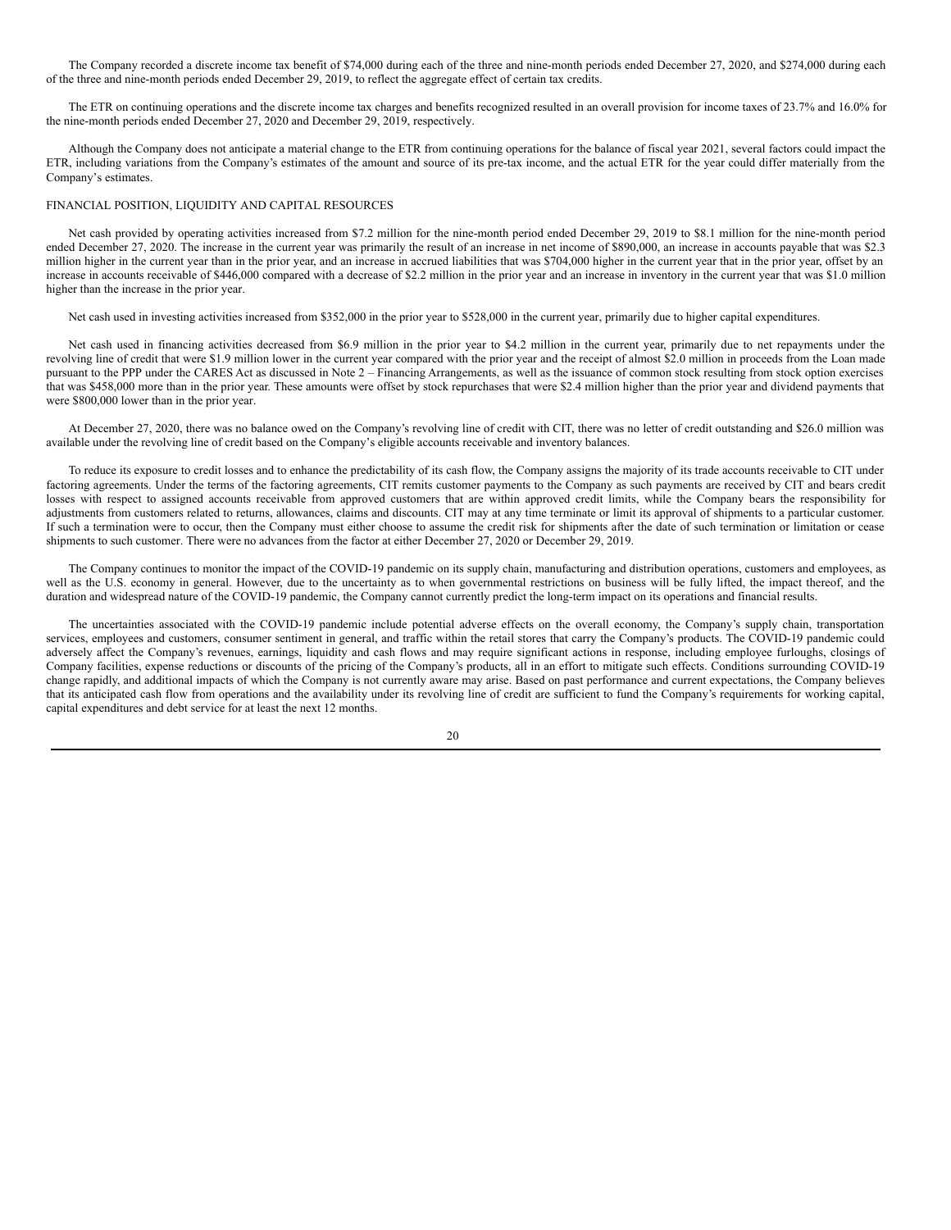The Company recorded a discrete income tax benefit of \$74,000 during each of the three and nine-month periods ended December 27, 2020, and \$274,000 during each of the three and nine-month periods ended December 29, 2019, to reflect the aggregate effect of certain tax credits.

The ETR on continuing operations and the discrete income tax charges and benefits recognized resulted in an overall provision for income taxes of 23.7% and 16.0% for the nine-month periods ended December 27, 2020 and December 29, 2019, respectively.

Although the Company does not anticipate a material change to the ETR from continuing operations for the balance of fiscal year 2021, several factors could impact the ETR, including variations from the Company's estimates of the amount and source of its pre-tax income, and the actual ETR for the year could differ materially from the Company's estimates.

# FINANCIAL POSITION, LIQUIDITY AND CAPITAL RESOURCES

Net cash provided by operating activities increased from \$7.2 million for the nine-month period ended December 29, 2019 to \$8.1 million for the nine-month period ended December 27, 2020. The increase in the current year was primarily the result of an increase in net income of \$890,000, an increase in accounts payable that was \$2.3 million higher in the current year than in the prior year, and an increase in accrued liabilities that was \$704,000 higher in the current year that in the prior year, offset by an increase in accounts receivable of \$446,000 compared with a decrease of \$2.2 million in the prior year and an increase in inventory in the current year that was \$1.0 million higher than the increase in the prior year.

Net cash used in investing activities increased from \$352,000 in the prior year to \$528,000 in the current year, primarily due to higher capital expenditures.

Net cash used in financing activities decreased from \$6.9 million in the prior year to \$4.2 million in the current year, primarily due to net repayments under the revolving line of credit that were \$1.9 million lower in the current year compared with the prior year and the receipt of almost \$2.0 million in proceeds from the Loan made pursuant to the PPP under the CARES Act as discussed in Note 2 – Financing Arrangements, as well as the issuance of common stock resulting from stock option exercises that was \$458,000 more than in the prior year. These amounts were offset by stock repurchases that were \$2.4 million higher than the prior year and dividend payments that were \$800,000 lower than in the prior year.

At December 27, 2020, there was no balance owed on the Company's revolving line of credit with CIT, there was no letter of credit outstanding and \$26.0 million was available under the revolving line of credit based on the Company's eligible accounts receivable and inventory balances.

To reduce its exposure to credit losses and to enhance the predictability of its cash flow, the Company assigns the majority of its trade accounts receivable to CIT under factoring agreements. Under the terms of the factoring agreements, CIT remits customer payments to the Company as such payments are received by CIT and bears credit losses with respect to assigned accounts receivable from approved customers that are within approved credit limits, while the Company bears the responsibility for adjustments from customers related to returns, allowances, claims and discounts. CIT may at any time terminate or limit its approval of shipments to a particular customer. If such a termination were to occur, then the Company must either choose to assume the credit risk for shipments after the date of such termination or limitation or cease shipments to such customer. There were no advances from the factor at either December 27, 2020 or December 29, 2019.

The Company continues to monitor the impact of the COVID-19 pandemic on its supply chain, manufacturing and distribution operations, customers and employees, as well as the U.S. economy in general. However, due to the uncertainty as to when governmental restrictions on business will be fully lifted, the impact thereof, and the duration and widespread nature of the COVID-19 pandemic, the Company cannot currently predict the long-term impact on its operations and financial results.

The uncertainties associated with the COVID-19 pandemic include potential adverse effects on the overall economy, the Company's supply chain, transportation services, employees and customers, consumer sentiment in general, and traffic within the retail stores that carry the Company's products. The COVID-19 pandemic could adversely affect the Company's revenues, earnings, liquidity and cash flows and may require significant actions in response, including employee furloughs, closings of Company facilities, expense reductions or discounts of the pricing of the Company's products, all in an effort to mitigate such effects. Conditions surrounding COVID-19 change rapidly, and additional impacts of which the Company is not currently aware may arise. Based on past performance and current expectations, the Company believes that its anticipated cash flow from operations and the availability under its revolving line of credit are sufficient to fund the Company's requirements for working capital, capital expenditures and debt service for at least the next 12 months.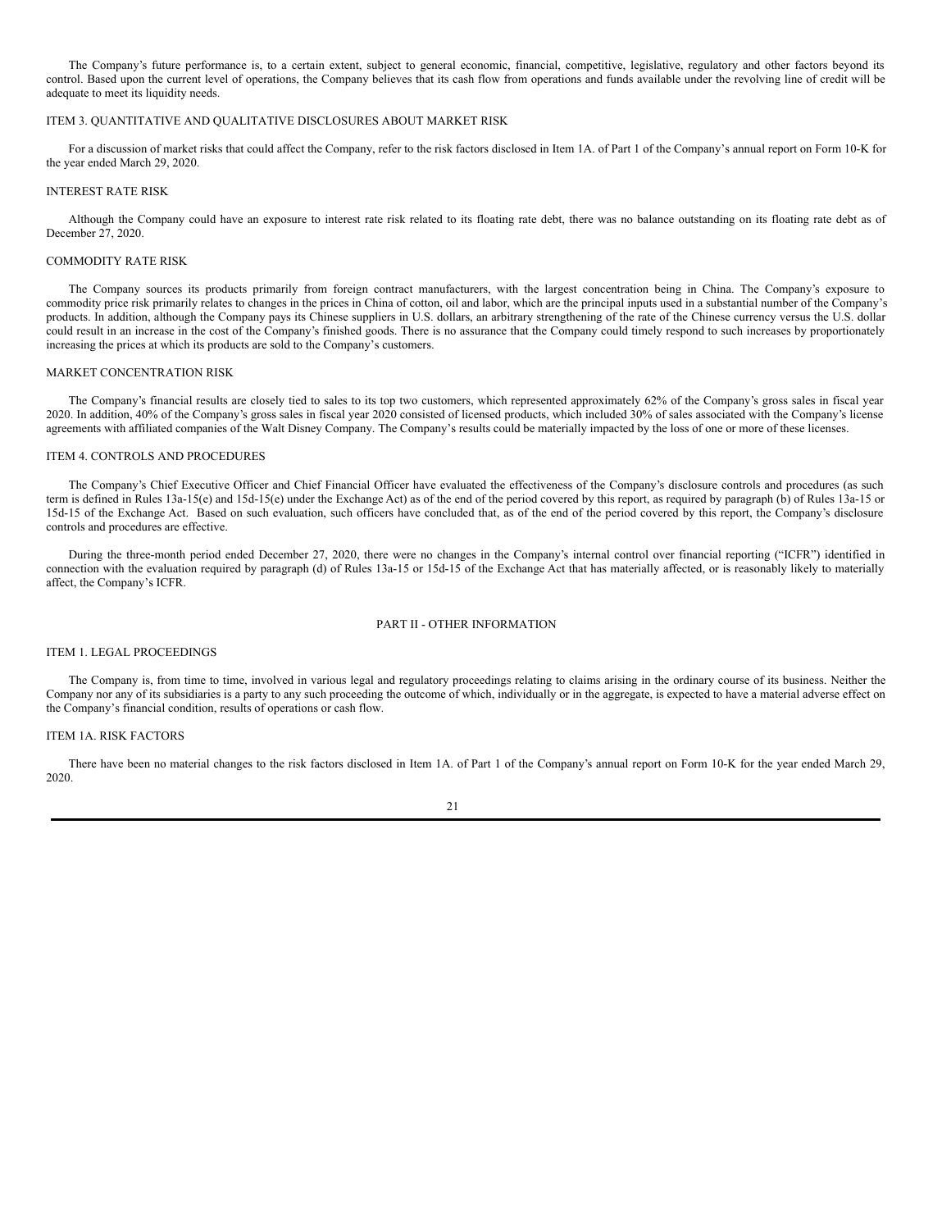The Company's future performance is, to a certain extent, subject to general economic, financial, competitive, legislative, regulatory and other factors beyond its control. Based upon the current level of operations, the Company believes that its cash flow from operations and funds available under the revolving line of credit will be adequate to meet its liquidity needs.

#### ITEM 3. QUANTITATIVE AND QUALITATIVE DISCLOSURES ABOUT MARKET RISK

For a discussion of market risks that could affect the Company, refer to the risk factors disclosed in Item 1A. of Part 1 of the Company's annual report on Form 10-K for the year ended March 29, 2020.

#### INTEREST RATE RISK

Although the Company could have an exposure to interest rate risk related to its floating rate debt, there was no balance outstanding on its floating rate debt as of December 27, 2020.

#### COMMODITY RATE RISK

The Company sources its products primarily from foreign contract manufacturers, with the largest concentration being in China. The Company's exposure to commodity price risk primarily relates to changes in the prices in China of cotton, oil and labor, which are the principal inputs used in a substantial number of the Company's products. In addition, although the Company pays its Chinese suppliers in U.S. dollars, an arbitrary strengthening of the rate of the Chinese currency versus the U.S. dollar could result in an increase in the cost of the Company's finished goods. There is no assurance that the Company could timely respond to such increases by proportionately increasing the prices at which its products are sold to the Company's customers.

### MARKET CONCENTRATION RISK

The Company's financial results are closely tied to sales to its top two customers, which represented approximately 62% of the Company's gross sales in fiscal year 2020. In addition, 40% of the Company's gross sales in fiscal year 2020 consisted of licensed products, which included 30% of sales associated with the Company's license agreements with affiliated companies of the Walt Disney Company. The Company's results could be materially impacted by the loss of one or more of these licenses.

#### ITEM 4. CONTROLS AND PROCEDURES

The Company's Chief Executive Officer and Chief Financial Officer have evaluated the effectiveness of the Company's disclosure controls and procedures (as such term is defined in Rules 13a-15(e) and 15d-15(e) under the Exchange Act) as of the end of the period covered by this report, as required by paragraph (b) of Rules 13a-15 or 15d-15 of the Exchange Act. Based on such evaluation, such officers have concluded that, as of the end of the period covered by this report, the Company's disclosure controls and procedures are effective.

During the three-month period ended December 27, 2020, there were no changes in the Company's internal control over financial reporting ("ICFR") identified in connection with the evaluation required by paragraph (d) of Rules 13a-15 or 15d-15 of the Exchange Act that has materially affected, or is reasonably likely to materially affect, the Company's ICFR.

# PART II - OTHER INFORMATION

#### ITEM 1. LEGAL PROCEEDINGS

The Company is, from time to time, involved in various legal and regulatory proceedings relating to claims arising in the ordinary course of its business. Neither the Company nor any of its subsidiaries is a party to any such proceeding the outcome of which, individually or in the aggregate, is expected to have a material adverse effect on the Company's financial condition, results of operations or cash flow.

### ITEM 1A. RISK FACTORS

There have been no material changes to the risk factors disclosed in Item 1A. of Part 1 of the Company's annual report on Form 10-K for the year ended March 29, 2020.

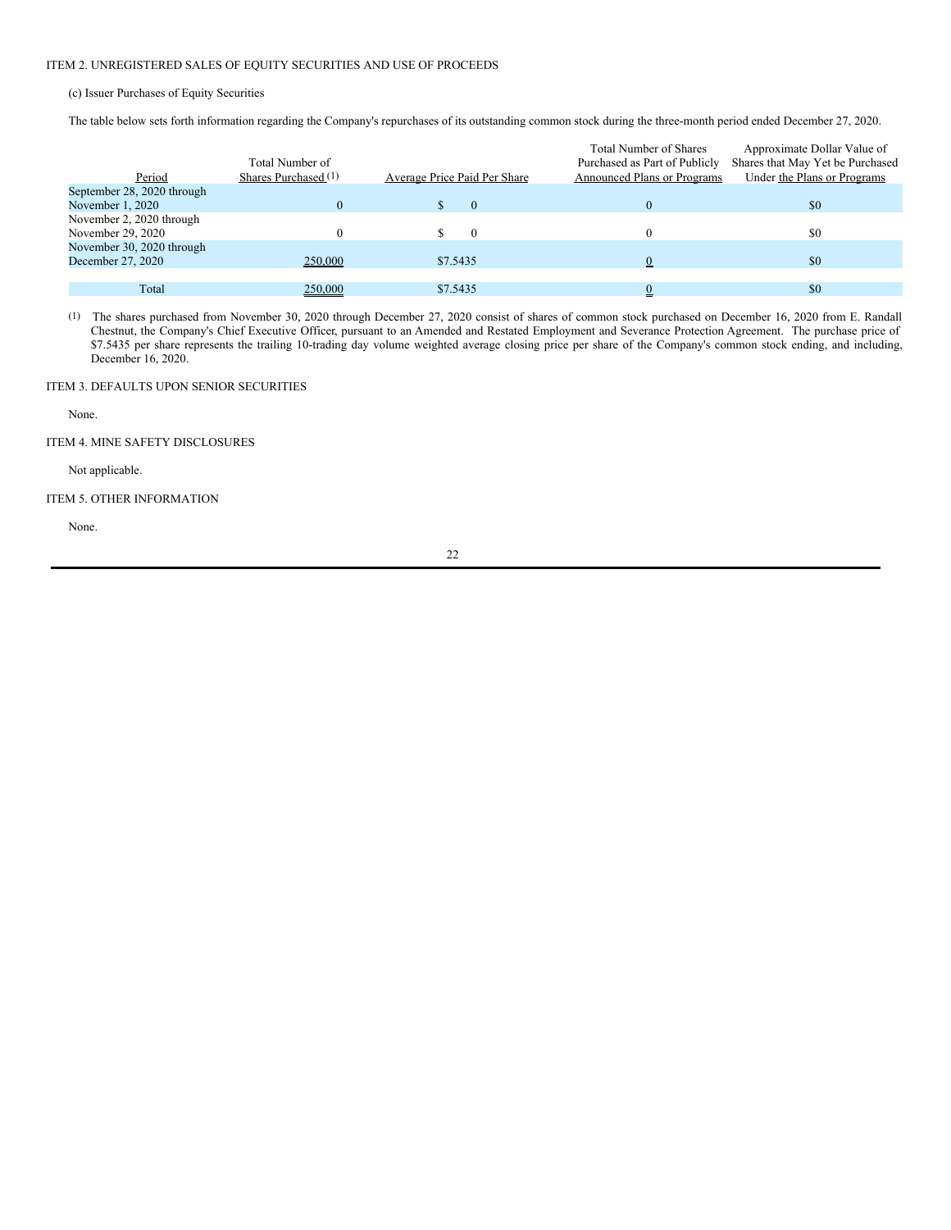# ITEM 2. UNREGISTERED SALES OF EQUITY SECURITIES AND USE OF PROCEEDS

(c) Issuer Purchases of Equity Securities

The table below sets forth information regarding the Company's repurchases of its outstanding common stock during the three-month period ended December 27, 2020.

|                            |                      |                              | <b>Total Number of Shares</b> | Approximate Dollar Value of      |
|----------------------------|----------------------|------------------------------|-------------------------------|----------------------------------|
|                            | Total Number of      |                              | Purchased as Part of Publicly | Shares that May Yet be Purchased |
| Period                     | Shares Purchased (1) | Average Price Paid Per Share | Announced Plans or Programs   | Under the Plans or Programs      |
| September 28, 2020 through |                      |                              |                               |                                  |
| November 1, 2020           |                      | $\Omega$                     | 0                             | \$0                              |
| November 2, 2020 through   |                      |                              |                               |                                  |
| November 29, 2020          |                      |                              |                               | \$0                              |
| November 30, 2020 through  |                      |                              |                               |                                  |
| December 27, 2020          | 250,000              | \$7.5435                     |                               | \$0                              |
|                            |                      |                              |                               |                                  |
| Total                      | 250,000              | \$7.5435                     |                               | \$0                              |

(1) The shares purchased from November 30, 2020 through December 27, 2020 consist of shares of common stock purchased on December 16, 2020 from E. Randall Chestnut, the Company's Chief Executive Officer, pursuant to an Amended and Restated Employment and Severance Protection Agreement. The purchase price of \$7.5435 per share represents the trailing 10-trading day volume weighted average closing price per share of the Company's common stock ending, and including, December 16, 2020.

# ITEM 3. DEFAULTS UPON SENIOR SECURITIES

None.

ITEM 4. MINE SAFETY DISCLOSURES

Not applicable.

# ITEM 5. OTHER INFORMATION

None.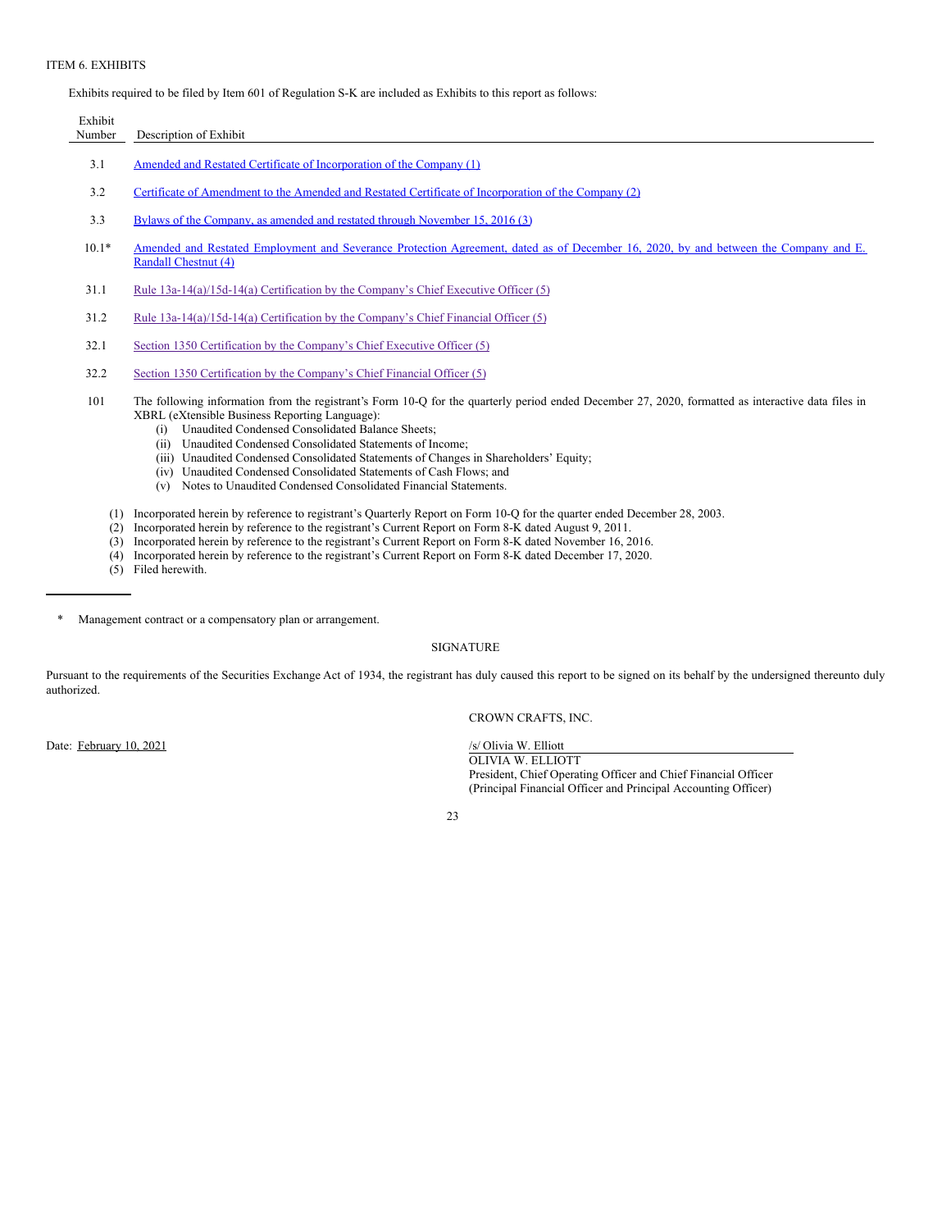### ITEM 6. EXHIBITS

Exhibits required to be filed by Item 601 of Regulation S-K are included as Exhibits to this report as follows:

| Exhibit |                                                                                                                                                                                                                                                                 |
|---------|-----------------------------------------------------------------------------------------------------------------------------------------------------------------------------------------------------------------------------------------------------------------|
| Number  | Description of Exhibit                                                                                                                                                                                                                                          |
| 3.1     | Amended and Restated Certificate of Incorporation of the Company (1)                                                                                                                                                                                            |
| 3.2     | Certificate of Amendment to the Amended and Restated Certificate of Incorporation of the Company (2)                                                                                                                                                            |
| 3.3     | Bylaws of the Company, as amended and restated through November 15, 2016 (3)                                                                                                                                                                                    |
| $10.1*$ | Amended and Restated Employment and Severance Protection Agreement, dated as of December 16, 2020, by and between the Company and E.<br>Randall Chestnut (4)                                                                                                    |
| 31.1    | Rule $13a-14(a)/15d-14(a)$ Certification by the Company's Chief Executive Officer (5)                                                                                                                                                                           |
| 31.2    | Rule $13a-14(a)/15d-14(a)$ Certification by the Company's Chief Financial Officer (5)                                                                                                                                                                           |
| 32.1    | Section 1350 Certification by the Company's Chief Executive Officer (5)                                                                                                                                                                                         |
| 32.2    | Section 1350 Certification by the Company's Chief Financial Officer (5)                                                                                                                                                                                         |
| 101     | The following information from the registrant's Form 10-Q for the quarterly period ended December 27, 2020, formatted as interactive data files in<br>XBRL (eXtensible Business Reporting Language):<br>Unaudited Condensed Consolidated Balance Sheets;<br>(i) |

- (ii) Unaudited Condensed Consolidated Statements of Income;
- (iii) Unaudited Condensed Consolidated Statements of Changes in Shareholders' Equity;
- (iv) Unaudited Condensed Consolidated Statements of Cash Flows; and (v) Notes to Unaudited Condensed Consolidated Financial Statements.
- 
- (1) Incorporated herein by reference to registrant's Quarterly Report on Form 10-Q for the quarter ended December 28, 2003.
- (2) Incorporated herein by reference to the registrant's Current Report on Form 8-K dated August 9, 2011.
- (3) Incorporated herein by reference to the registrant's Current Report on Form 8-K dated November 16, 2016.
- (4) Incorporated herein by reference to the registrant's Current Report on Form 8-K dated December 17, 2020.
- (5) Filed herewith.

Management contract or a compensatory plan or arrangement.

# SIGNATURE

Pursuant to the requirements of the Securities Exchange Act of 1934, the registrant has duly caused this report to be signed on its behalf by the undersigned thereunto duly authorized.

CROWN CRAFTS, INC.

Date: February 10, 2021 /s/ Olivia W. Elliott

OLIVIA W. ELLIOTT President, Chief Operating Officer and Chief Financial Officer (Principal Financial Officer and Principal Accounting Officer)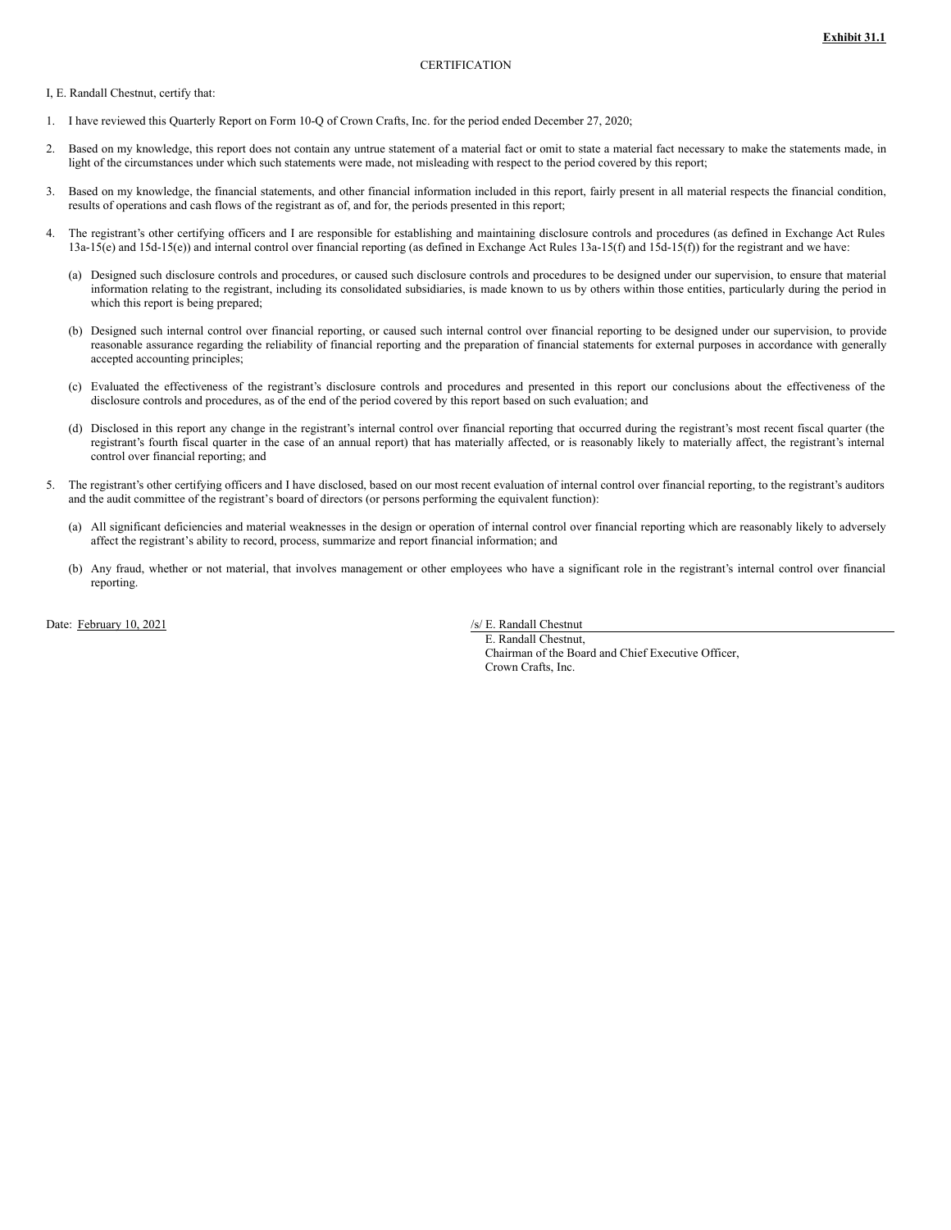<span id="page-23-0"></span>I, E. Randall Chestnut, certify that:

- 1. I have reviewed this Quarterly Report on Form 10-Q of Crown Crafts, Inc. for the period ended December 27, 2020;
- 2. Based on my knowledge, this report does not contain any untrue statement of a material fact or omit to state a material fact necessary to make the statements made, in light of the circumstances under which such statements were made, not misleading with respect to the period covered by this report;
- 3. Based on my knowledge, the financial statements, and other financial information included in this report, fairly present in all material respects the financial condition, results of operations and cash flows of the registrant as of, and for, the periods presented in this report;
- 4. The registrant's other certifying officers and I are responsible for establishing and maintaining disclosure controls and procedures (as defined in Exchange Act Rules 13a-15(e) and 15d-15(e)) and internal control over financial reporting (as defined in Exchange Act Rules 13a-15(f) and 15d-15(f)) for the registrant and we have:
	- (a) Designed such disclosure controls and procedures, or caused such disclosure controls and procedures to be designed under our supervision, to ensure that material information relating to the registrant, including its consolidated subsidiaries, is made known to us by others within those entities, particularly during the period in which this report is being prepared;
	- (b) Designed such internal control over financial reporting, or caused such internal control over financial reporting to be designed under our supervision, to provide reasonable assurance regarding the reliability of financial reporting and the preparation of financial statements for external purposes in accordance with generally accepted accounting principles;
	- (c) Evaluated the effectiveness of the registrant's disclosure controls and procedures and presented in this report our conclusions about the effectiveness of the disclosure controls and procedures, as of the end of the period covered by this report based on such evaluation; and
	- (d) Disclosed in this report any change in the registrant's internal control over financial reporting that occurred during the registrant's most recent fiscal quarter (the registrant's fourth fiscal quarter in the case of an annual report) that has materially affected, or is reasonably likely to materially affect, the registrant's internal control over financial reporting; and
- 5. The registrant's other certifying officers and I have disclosed, based on our most recent evaluation of internal control over financial reporting, to the registrant's auditors and the audit committee of the registrant's board of directors (or persons performing the equivalent function):
	- (a) All significant deficiencies and material weaknesses in the design or operation of internal control over financial reporting which are reasonably likely to adversely affect the registrant's ability to record, process, summarize and report financial information; and
	- (b) Any fraud, whether or not material, that involves management or other employees who have a significant role in the registrant's internal control over financial reporting.

Date: February 10, 2021 /s/ E. Randall Chestnut

E. Randall Chestnut, Chairman of the Board and Chief Executive Officer, Crown Crafts, Inc.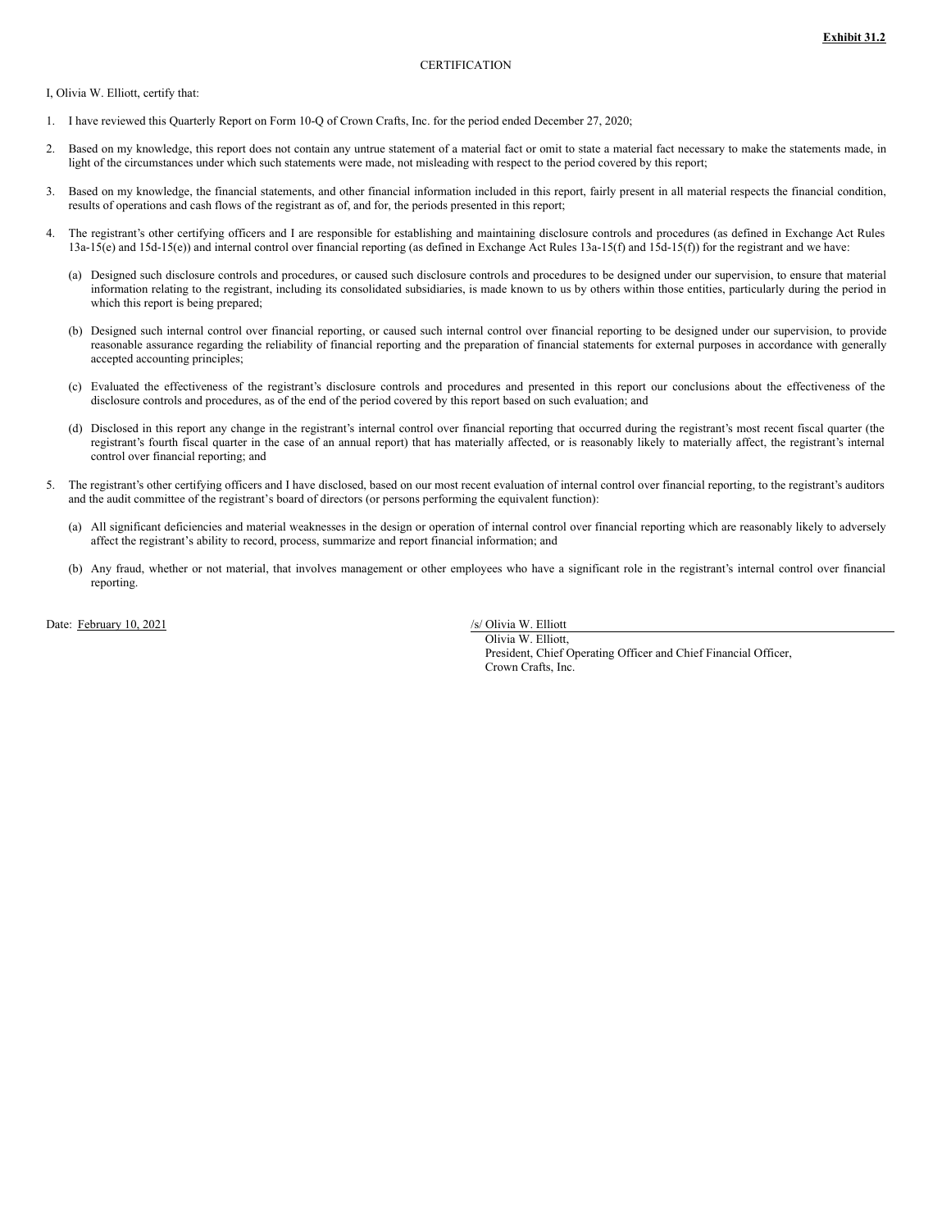<span id="page-24-0"></span>I, Olivia W. Elliott, certify that:

- 1. I have reviewed this Quarterly Report on Form 10-Q of Crown Crafts, Inc. for the period ended December 27, 2020;
- 2. Based on my knowledge, this report does not contain any untrue statement of a material fact or omit to state a material fact necessary to make the statements made, in light of the circumstances under which such statements were made, not misleading with respect to the period covered by this report;
- 3. Based on my knowledge, the financial statements, and other financial information included in this report, fairly present in all material respects the financial condition, results of operations and cash flows of the registrant as of, and for, the periods presented in this report;
- 4. The registrant's other certifying officers and I are responsible for establishing and maintaining disclosure controls and procedures (as defined in Exchange Act Rules 13a-15(e) and 15d-15(e)) and internal control over financial reporting (as defined in Exchange Act Rules 13a-15(f) and 15d-15(f)) for the registrant and we have:
	- (a) Designed such disclosure controls and procedures, or caused such disclosure controls and procedures to be designed under our supervision, to ensure that material information relating to the registrant, including its consolidated subsidiaries, is made known to us by others within those entities, particularly during the period in which this report is being prepared;
	- (b) Designed such internal control over financial reporting, or caused such internal control over financial reporting to be designed under our supervision, to provide reasonable assurance regarding the reliability of financial reporting and the preparation of financial statements for external purposes in accordance with generally accepted accounting principles;
	- (c) Evaluated the effectiveness of the registrant's disclosure controls and procedures and presented in this report our conclusions about the effectiveness of the disclosure controls and procedures, as of the end of the period covered by this report based on such evaluation; and
	- (d) Disclosed in this report any change in the registrant's internal control over financial reporting that occurred during the registrant's most recent fiscal quarter (the registrant's fourth fiscal quarter in the case of an annual report) that has materially affected, or is reasonably likely to materially affect, the registrant's internal control over financial reporting; and
- 5. The registrant's other certifying officers and I have disclosed, based on our most recent evaluation of internal control over financial reporting, to the registrant's auditors and the audit committee of the registrant's board of directors (or persons performing the equivalent function):
	- (a) All significant deficiencies and material weaknesses in the design or operation of internal control over financial reporting which are reasonably likely to adversely affect the registrant's ability to record, process, summarize and report financial information; and
	- (b) Any fraud, whether or not material, that involves management or other employees who have a significant role in the registrant's internal control over financial reporting.

Date: February 10, 2021 /s/ Olivia W. Elliott

Olivia W. Elliott, President, Chief Operating Officer and Chief Financial Officer, Crown Crafts, Inc.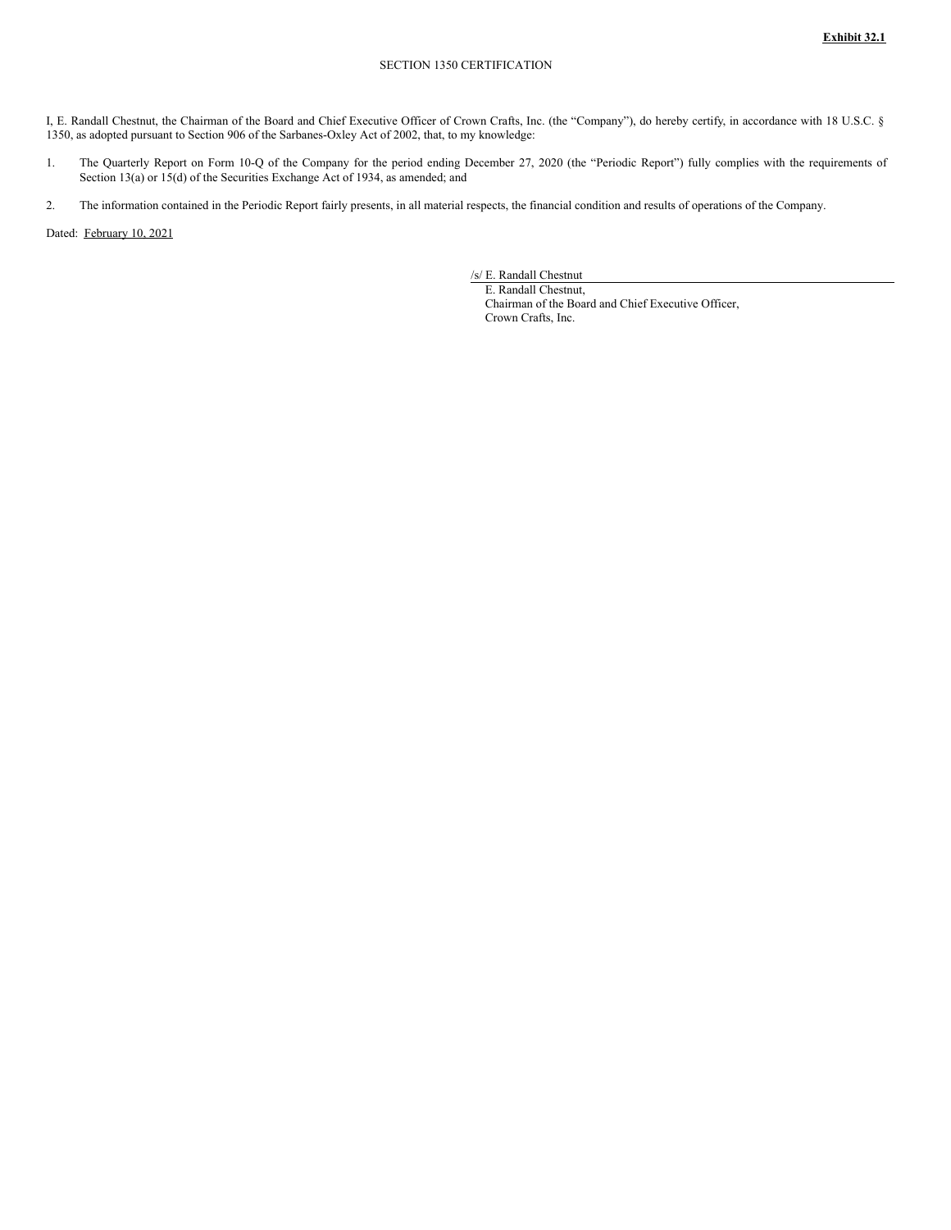<span id="page-25-0"></span>I, E. Randall Chestnut, the Chairman of the Board and Chief Executive Officer of Crown Crafts, Inc. (the "Company"), do hereby certify, in accordance with 18 U.S.C. § 1350, as adopted pursuant to Section 906 of the Sarbanes-Oxley Act of 2002, that, to my knowledge:

- 1. The Quarterly Report on Form 10-Q of the Company for the period ending December 27, 2020 (the "Periodic Report") fully complies with the requirements of Section 13(a) or 15(d) of the Securities Exchange Act of 1934, as amended; and
- 2. The information contained in the Periodic Report fairly presents, in all material respects, the financial condition and results of operations of the Company.

Dated: February 10, 2021

/s/ E. Randall Chestnut

E. Randall Chestnut, Chairman of the Board and Chief Executive Officer, Crown Crafts, Inc.